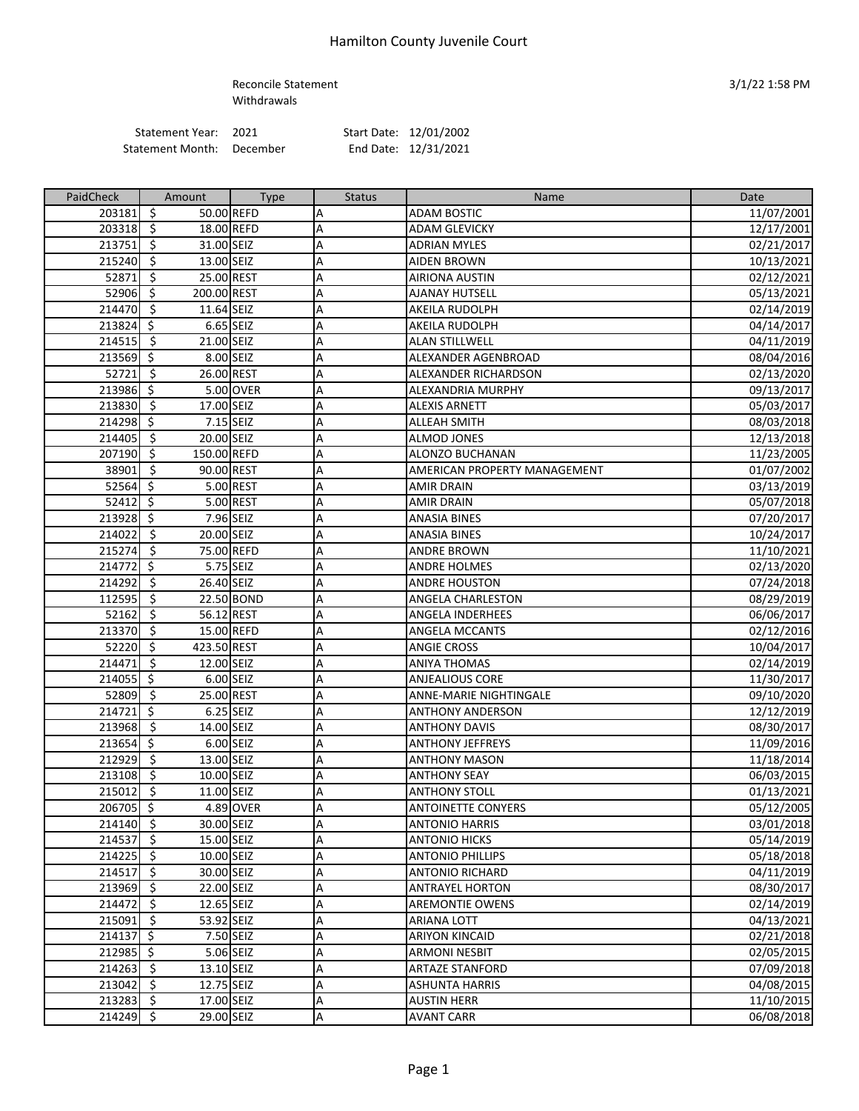## Reconcile Statement 3/1/22 1:58 PM Withdrawals

Statement Year: 2021 <br>
atement Month: December End Date: 12/31/2021 Statement Month: December

| PaidCheck   | Amount                                 | <b>Type</b> | <b>Status</b> | <b>Name</b>                  | Date       |
|-------------|----------------------------------------|-------------|---------------|------------------------------|------------|
| 203181      | \$                                     | 50.00 REFD  | А             | <b>ADAM BOSTIC</b>           | 11/07/2001 |
| 203318      | -\$                                    | 18.00 REFD  | А             | <b>ADAM GLEVICKY</b>         | 12/17/2001 |
| 213751      | \$<br>31.00 SEIZ                       |             | А             | <b>ADRIAN MYLES</b>          | 02/21/2017 |
| 215240      | \$<br>13.00 SEIZ                       |             | А             | AIDEN BROWN                  | 10/13/2021 |
| 52871       | \$<br>25.00 REST                       |             | А             | <b>AIRIONA AUSTIN</b>        | 02/12/2021 |
| 52906       | $\ddot{\varsigma}$<br>200.00 REST      |             | А             | <b>AJANAY HUTSELL</b>        | 05/13/2021 |
| 214470      | -\$<br>11.64 SEIZ                      |             | А             | AKEILA RUDOLPH               | 02/14/2019 |
| 213824      | \$                                     | 6.65 SEIZ   | Α             | AKEILA RUDOLPH               | 04/14/2017 |
| 214515      | $\overline{\mathcal{S}}$<br>21.00 SEIZ |             | A             | <b>ALAN STILLWELL</b>        | 04/11/2019 |
| 213569 \$   |                                        | 8.00 SEIZ   | Α             | ALEXANDER AGENBROAD          | 08/04/2016 |
| 52721       | $\zeta$<br>26.00 REST                  |             | Α             | ALEXANDER RICHARDSON         | 02/13/2020 |
| 213986 \$   |                                        | 5.00 OVER   | А             | ALEXANDRIA MURPHY            | 09/13/2017 |
| 213830      | -\$<br>17.00 SEIZ                      |             | А             | <b>ALEXIS ARNETT</b>         | 05/03/2017 |
| 214298      | \$                                     | 7.15 SEIZ   | А             | <b>ALLEAH SMITH</b>          | 08/03/2018 |
| 214405      | \$<br>20.00 SEIZ                       |             | А             | ALMOD JONES                  | 12/13/2018 |
| 207190      | \$<br>150.00 REFD                      |             | A             | ALONZO BUCHANAN              | 11/23/2005 |
| 38901       | \$<br>90.00 REST                       |             | А             | AMERICAN PROPERTY MANAGEMENT | 01/07/2002 |
| 52564       | Ŝ.                                     | 5.00 REST   | А             | <b>AMIR DRAIN</b>            | 03/13/2019 |
| 52412       | \$                                     | 5.00 REST   | Α             | <b>AMIR DRAIN</b>            | 05/07/2018 |
| 213928 \$   |                                        | 7.96 SEIZ   | A             | <b>ANASIA BINES</b>          | 07/20/2017 |
| 214022      | ऽ<br>20.00 SEIZ                        |             | A             | ANASIA BINES                 | 10/24/2017 |
| 215274      | $\ddot{\varsigma}$                     | 75.00 REFD  | A             | <b>ANDRE BROWN</b>           | 11/10/2021 |
| 214772      | $\ddot{\mathsf{S}}$                    | 5.75 SEIZ   | А             | <b>ANDRE HOLMES</b>          | 02/13/2020 |
| 214292      | $\zeta$<br>26.40 SEIZ                  |             | А             | <b>ANDRE HOUSTON</b>         | 07/24/2018 |
| 112595      | Ŝ.                                     | 22.50 BOND  | А             | ANGELA CHARLESTON            | 08/29/2019 |
| 52162       | -\$<br>56.12 REST                      |             | А             | ANGELA INDERHEES             | 06/06/2017 |
| 213370      | -\$                                    | 15.00 REFD  | А             | ANGELA MCCANTS               | 02/12/2016 |
| 52220       | $\ddot{\mathsf{S}}$<br>423.50 REST     |             | А             | <b>ANGIE CROSS</b>           | 10/04/2017 |
| 214471      | 12.00 SEIZ<br>-\$                      |             | А             | <b>ANIYA THOMAS</b>          | 02/14/2019 |
| 214055      | \$                                     | 6.00 SEIZ   | A             | ANJEALIOUS CORE              | 11/30/2017 |
| 52809       | $\zeta$<br>25.00 REST                  |             | Α             | ANNE-MARIE NIGHTINGALE       | 09/10/2020 |
| 214721      | $\overline{\mathcal{S}}$               | 6.25 SEIZ   | Α             | <b>ANTHONY ANDERSON</b>      | 12/12/2019 |
| 213968      | $\ddot{\mathsf{s}}$<br>14.00 SEIZ      |             | A             | <b>ANTHONY DAVIS</b>         | 08/30/2017 |
| 213654 \$   |                                        | 6.00 SEIZ   | А             | <b>ANTHONY JEFFREYS</b>      | 11/09/2016 |
| 212929      | $\zeta$<br>13.00 SEIZ                  |             | А             | <b>ANTHONY MASON</b>         | 11/18/2014 |
| 213108      | 10.00 SEIZ<br>-\$                      |             | А             | <b>ANTHONY SEAY</b>          | 06/03/2015 |
| 215012      | -\$<br>11.00 SEIZ                      |             | А             | ANTHONY STOLL                | 01/13/2021 |
| 206705 \$   |                                        | 4.89 OVER   | А             | <b>ANTOINETTE CONYERS</b>    | 05/12/2005 |
| 214140 \$   | 30.00 SEIZ                             |             | A             | <b>ANTONIO HARRIS</b>        | 03/01/2018 |
| 214537 \$   | 15.00 SEIZ                             |             | А             | <b>ANTONIO HICKS</b>         | 05/14/2019 |
| $214225$ \$ | 10.00 SEIZ                             |             | A             | <b>ANTONIO PHILLIPS</b>      | 05/18/2018 |
| $214517$ \$ | 30.00 SEIZ                             |             | А             | <b>ANTONIO RICHARD</b>       | 04/11/2019 |
| 213969 \$   | 22.00 SEIZ                             |             | Α             | <b>ANTRAYEL HORTON</b>       | 08/30/2017 |
| 214472      | $\ddot{\varsigma}$<br>12.65 SEIZ       |             | Α             | <b>AREMONTIE OWENS</b>       | 02/14/2019 |
| 215091 \$   | 53.92 SEIZ                             |             | А             | ARIANA LOTT                  | 04/13/2021 |
| $214137$ \$ |                                        | 7.50 SEIZ   | А             | <b>ARIYON KINCAID</b>        | 02/21/2018 |
| $212985$ \$ |                                        | 5.06 SEIZ   | А             | <b>ARMONI NESBIT</b>         | 02/05/2015 |
| 214263 \$   | 13.10 SEIZ                             |             | А             | <b>ARTAZE STANFORD</b>       | 07/09/2018 |
| 213042 \$   | 12.75 SEIZ                             |             | А             | ASHUNTA HARRIS               | 04/08/2015 |
| 213283 \$   | 17.00 SEIZ                             |             | А             | <b>AUSTIN HERR</b>           | 11/10/2015 |
| 214249 \$   | 29.00 SEIZ                             |             | А             | <b>AVANT CARR</b>            | 06/08/2018 |

Page 1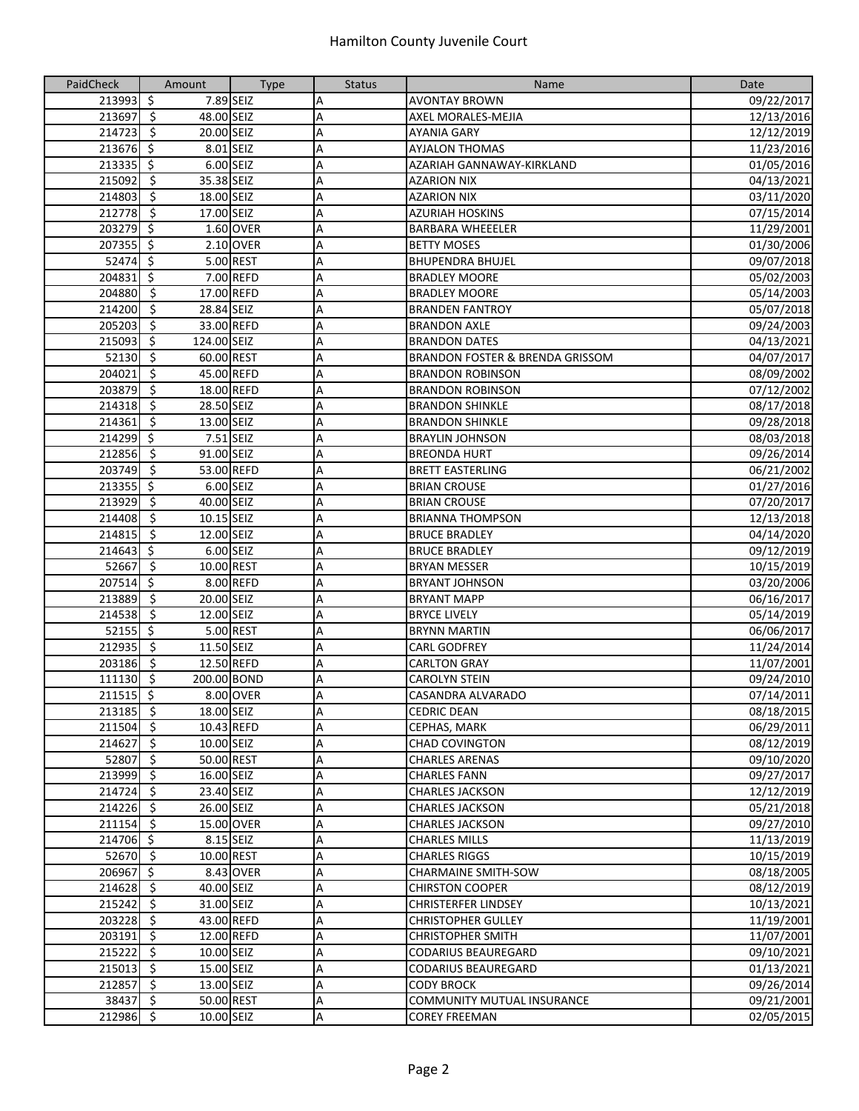| PaidCheck   | Amount                                 | <b>Type</b> | <b>Status</b> | Name                              | Date       |
|-------------|----------------------------------------|-------------|---------------|-----------------------------------|------------|
| 213993      | $\zeta$                                | 7.89 SEIZ   | А             | <b>AVONTAY BROWN</b>              | 09/22/2017 |
| 213697      | $\overline{\mathbf{5}}$<br>48.00 SEIZ  |             | A             | AXEL MORALES-MEJIA                | 12/13/2016 |
| 214723      | $\overline{\phantom{a}}$<br>20.00 SEIZ |             | Α             | <b>AYANIA GARY</b>                | 12/12/2019 |
| 213676      | $\overline{\mathcal{S}}$               | 8.01 SEIZ   | A             | <b>AYJALON THOMAS</b>             | 11/23/2016 |
| 213335      | $\overline{\mathcal{S}}$               | 6.00 SEIZ   | Α             | AZARIAH GANNAWAY-KIRKLAND         | 01/05/2016 |
| 215092      | $\zeta$<br>35.38 SEIZ                  |             | А             | <b>AZARION NIX</b>                | 04/13/2021 |
| 214803      | \$<br>18.00 SEIZ                       |             | A             | <b>AZARION NIX</b>                | 03/11/2020 |
| 212778      | $\zeta$<br>17.00 SEIZ                  |             | Α             | AZURIAH HOSKINS                   | 07/15/2014 |
| 203279      | $\ddot{\mathsf{S}}$                    | 1.60 OVER   | А             | <b>BARBARA WHEEELER</b>           | 11/29/2001 |
| 207355      | ऽ                                      | 2.10 OVER   | А             | <b>BETTY MOSES</b>                | 01/30/2006 |
| 52474       | $\overline{\mathcal{S}}$               | 5.00 REST   | Α             | <b>BHUPENDRA BHUJEL</b>           | 09/07/2018 |
| 204831      | $\overline{\mathcal{S}}$               | 7.00 REFD   | Α             | <b>BRADLEY MOORE</b>              | 05/02/2003 |
| 204880      | ्र                                     | 17.00 REFD  | Α             | <b>BRADLEY MOORE</b>              | 05/14/2003 |
| 214200      | $\overline{\phantom{a}}$<br>28.84 SEIZ |             | A             | <b>BRANDEN FANTROY</b>            | 05/07/2018 |
| 205203      | $\ddot{\varsigma}$                     | 33.00 REFD  | A             | <b>BRANDON AXLE</b>               | 09/24/2003 |
| 215093      | \$<br>124.00 SEIZ                      |             | A             | <b>BRANDON DATES</b>              | 04/13/2021 |
| 52130       | \$<br>60.00 REST                       |             | А             | BRANDON FOSTER & BRENDA GRISSOM   | 04/07/2017 |
| 204021      | $\zeta$                                | 45.00 REFD  | А             | <b>BRANDON ROBINSON</b>           | 08/09/2002 |
| 203879      | \$                                     | 18.00 REFD  | Α             | <b>BRANDON ROBINSON</b>           | 07/12/2002 |
| 214318      | $\ddot{\varsigma}$<br>28.50 SEIZ       |             | Α             | <b>BRANDON SHINKLE</b>            | 08/17/2018 |
| 214361      | $\overline{\mathcal{S}}$<br>13.00 SEIZ |             | А             | <b>BRANDON SHINKLE</b>            | 09/28/2018 |
| 214299      | $\overline{\mathcal{S}}$               | 7.51 SEIZ   | Α             | <b>BRAYLIN JOHNSON</b>            | 08/03/2018 |
| 212856      | $\overline{\mathbf{S}}$<br>91.00 SEIZ  |             | Α             | <b>BREONDA HURT</b>               | 09/26/2014 |
| 203749      | $\overline{\mathbf{5}}$                | 53.00 REFD  | Α             | <b>BRETT EASTERLING</b>           | 06/21/2002 |
| 213355      | $\overline{\mathbf{S}}$                | 6.00 SEIZ   | Α             | <b>BRIAN CROUSE</b>               | 01/27/2016 |
| 213929      | $\overline{\mathbf{5}}$<br>40.00 SEIZ  |             | A             | <b>BRIAN CROUSE</b>               | 07/20/2017 |
| 214408      | $\ddot{\mathsf{s}}$<br>10.15 SEIZ      |             | A             | <b>BRIANNA THOMPSON</b>           | 12/13/2018 |
| 214815      | ऽ<br>12.00 SEIZ                        |             | А             | <b>BRUCE BRADLEY</b>              | 04/14/2020 |
| 214643      | \$                                     | 6.00 SEIZ   | А             | <b>BRUCE BRADLEY</b>              | 09/12/2019 |
| 52667       | ऽ<br>10.00 REST                        |             | A             | <b>BRYAN MESSER</b>               | 10/15/2019 |
| 207514      | $\zeta$                                | 8.00 REFD   | А             | <b>BRYANT JOHNSON</b>             | 03/20/2006 |
| 213889      | $\overline{\mathcal{S}}$<br>20.00 SEIZ |             | А             | <b>BRYANT MAPP</b>                | 06/16/2017 |
| 214538      | $\ddot{\mathsf{S}}$<br>12.00 SEIZ      |             | Α             | <b>BRYCE LIVELY</b>               | 05/14/2019 |
| 52155       | $\zeta$                                | 5.00 REST   | А             | <b>BRYNN MARTIN</b>               | 06/06/2017 |
| 212935      | $\overline{\mathbf{S}}$<br>11.50 SEIZ  |             | Α             | <b>CARL GODFREY</b>               | 11/24/2014 |
| 203186      | $\overline{\mathbf{5}}$                | 12.50 REFD  | Α             | <b>CARLTON GRAY</b>               | 11/07/2001 |
| 111130 \$   | 200.00 BOND                            |             | Α             | CAROLYN STEIN                     | 09/24/2010 |
| 211515      | $\zeta$                                | 8.00 OVER   | A             | CASANDRA ALVARADO                 | 07/14/2011 |
| $213185$ \$ | 18.00 SEIZ                             |             | Α             | <b>CEDRIC DEAN</b>                | 08/18/2015 |
| 211504 \$   |                                        | 10.43 REFD  | A             | CEPHAS, MARK                      | 06/29/2011 |
| 214627      | $\ddot{\varsigma}$<br>10.00 SEIZ       |             | А             | <b>CHAD COVINGTON</b>             | 08/12/2019 |
| 52807       | - \$<br>50.00 REST                     |             | А             | <b>CHARLES ARENAS</b>             | 09/10/2020 |
| 213999 \$   | 16.00 SEIZ                             |             | А             | <b>CHARLES FANN</b>               | 09/27/2017 |
| 214724      | $\ddot{\varsigma}$<br>23.40 SEIZ       |             | Α             | <b>CHARLES JACKSON</b>            | 12/12/2019 |
| 214226      | $\ddot{\varsigma}$<br>26.00 SEIZ       |             | А             | <b>CHARLES JACKSON</b>            | 05/21/2018 |
| $211154$ \$ |                                        | 15.00 OVER  | Α             | <b>CHARLES JACKSON</b>            | 09/27/2010 |
| $214706$ \$ |                                        | 8.15 SEIZ   | Α             | <b>CHARLES MILLS</b>              | 11/13/2019 |
| $52670$ \$  | 10.00 REST                             |             | Α             | <b>CHARLES RIGGS</b>              | 10/15/2019 |
| $206967$ \$ |                                        | 8.43 OVER   | Α             | <b>CHARMAINE SMITH-SOW</b>        | 08/18/2005 |
| 214628 \$   | 40.00 SEIZ                             |             | А             | <b>CHIRSTON COOPER</b>            | 08/12/2019 |
| 215242      | $\ddot{\varsigma}$<br>31.00 SEIZ       |             | А             | <b>CHRISTERFER LINDSEY</b>        | 10/13/2021 |
| 203228      | -\$                                    | 43.00 REFD  | А             | <b>CHRISTOPHER GULLEY</b>         | 11/19/2001 |
| $203191$ \$ |                                        | 12.00 REFD  | А             | <b>CHRISTOPHER SMITH</b>          | 11/07/2001 |
| 215222      | $\ddot{\varsigma}$<br>10.00 SEIZ       |             | А             | CODARIUS BEAUREGARD               | 09/10/2021 |
| 215013      | $\ddot{\varsigma}$<br>15.00 SEIZ       |             | А             | CODARIUS BEAUREGARD               | 01/13/2021 |
| 212857      | $\ddot{\varsigma}$<br>13.00 SEIZ       |             | А             | <b>CODY BROCK</b>                 | 09/26/2014 |
| 38437       | $\overline{\mathbf{v}}$                | 50.00 REST  | А             | <b>COMMUNITY MUTUAL INSURANCE</b> | 09/21/2001 |
| 212986      | $\ddot{\varsigma}$<br>10.00 SEIZ       |             | Α             | <b>COREY FREEMAN</b>              | 02/05/2015 |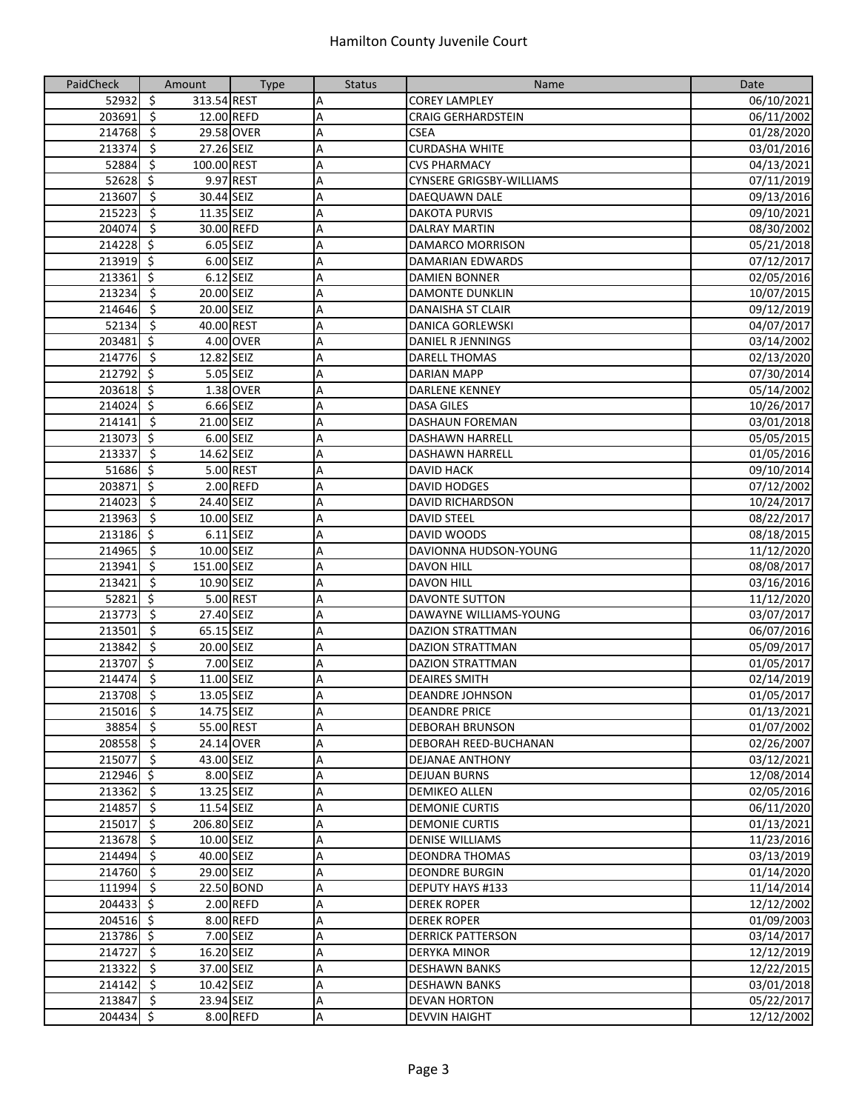| PaidCheck   | Amount                                  | <b>Type</b> | <b>Status</b> | Name                            | Date       |
|-------------|-----------------------------------------|-------------|---------------|---------------------------------|------------|
| 52932       | $\zeta$<br>313.54 REST                  |             | Α             | <b>COREY LAMPLEY</b>            | 06/10/2021 |
| 203691      | $\overline{\mathbf{5}}$                 | 12.00 REFD  | Α             | <b>CRAIG GERHARDSTEIN</b>       | 06/11/2002 |
| 214768      | $\overline{\varsigma}$                  | 29.58 OVER  | A             | <b>CSEA</b>                     | 01/28/2020 |
| 213374      | $\overline{\mathbf{S}}$<br>27.26 SEIZ   |             | A             | <b>CURDASHA WHITE</b>           | 03/01/2016 |
| 52884       | \$<br>100.00 REST                       |             | A             | <b>CVS PHARMACY</b>             | 04/13/2021 |
| 52628       | $\ddot{\mathsf{S}}$                     | 9.97 REST   | А             | <b>CYNSERE GRIGSBY-WILLIAMS</b> | 07/11/2019 |
| 213607      | $\ddot{\mathsf{s}}$<br>30.44 SEIZ       |             | Α             | DAEQUAWN DALE                   | 09/13/2016 |
| 215223      | \$<br>11.35 SEIZ                        |             | Α             | <b>DAKOTA PURVIS</b>            | 09/10/2021 |
| 204074      | -\$                                     | 30.00 REFD  |               |                                 |            |
| $214228$ \$ |                                         | 6.05 SEIZ   | А             | <b>DALRAY MARTIN</b>            | 08/30/2002 |
|             |                                         |             | Α             | DAMARCO MORRISON                | 05/21/2018 |
| 213919 \$   |                                         | 6.00 SEIZ   | Α             | DAMARIAN EDWARDS                | 07/12/2017 |
| 213361      | $\overline{\mathbf{r}}$                 | 6.12 SEIZ   | Α             | <b>DAMIEN BONNER</b>            | 02/05/2016 |
| 213234      | $\overline{\mathcal{S}}$<br>20.00 SEIZ  |             | Α             | <b>DAMONTE DUNKLIN</b>          | 10/07/2015 |
| 214646      | $\overline{\varsigma}$<br>20.00 SEIZ    |             | A             | <b>DANAISHA ST CLAIR</b>        | 09/12/2019 |
| 52134       | $\overline{\mathbf{5}}$<br>40.00 REST   |             | A             | <b>DANICA GORLEWSKI</b>         | 04/07/2017 |
| 203481      | $\ddot{\mathsf{S}}$                     | 4.00 OVER   | A             | DANIEL R JENNINGS               | 03/14/2002 |
| 214776      | -\$<br>12.82 SEIZ                       |             | А             | <b>DARELL THOMAS</b>            | 02/13/2020 |
| 212792      | $\ddot{\mathsf{S}}$                     | 5.05 SEIZ   | А             | <b>DARIAN MAPP</b>              | 07/30/2014 |
| 203618      | $\ddot{\mathsf{S}}$                     | 1.38 OVER   | Α             | <b>DARLENE KENNEY</b>           | 05/14/2002 |
| 214024 \$   |                                         | 6.66 SEIZ   | А             | <b>DASA GILES</b>               | 10/26/2017 |
| 214141      | $\overline{\xi}$<br>21.00 SEIZ          |             | А             | <b>DASHAUN FOREMAN</b>          | 03/01/2018 |
| 213073      | $\ddot{\mathsf{s}}$                     | 6.00 SEIZ   | Α             | <b>DASHAWN HARRELL</b>          | 05/05/2015 |
| 213337      | $\overline{\mathbf{v}}$<br>14.62 SEIZ   |             | Α             | <b>DASHAWN HARRELL</b>          | 01/05/2016 |
| 51686 \$    |                                         | 5.00 REST   | Α             | <b>DAVID HACK</b>               | 09/10/2014 |
| 203871      | $\overline{\mathfrak{s}}$               | 2.00 REFD   | A             | <b>DAVID HODGES</b>             | 07/12/2002 |
| 214023      | $\overline{\mathbf{5}}$<br>24.40 SEIZ   |             | A             | <b>DAVID RICHARDSON</b>         | 10/24/2017 |
| 213963      | $\ddot{\mathsf{s}}$<br>10.00 SEIZ       |             | A             | <b>DAVID STEEL</b>              | 08/22/2017 |
| 213186 \$   |                                         | $6.11$ SEIZ | А             | DAVID WOODS                     | 08/18/2015 |
| 214965      | $\ddot{\mathsf{s}}$<br>10.00 SEIZ       |             |               | DAVIONNA HUDSON-YOUNG           |            |
|             |                                         |             | А             |                                 | 11/12/2020 |
| 213941      | $\ddot{\mathsf{S}}$<br>151.00 SEIZ      |             | Α             | <b>DAVON HILL</b>               | 08/08/2017 |
| 213421      | $\ddot{\mathsf{s}}$<br>10.90 SEIZ       |             | А             | <b>DAVON HILL</b>               | 03/16/2016 |
| 52821       | $\overline{\mathbf{v}}$                 | 5.00 REST   | А             | <b>DAVONTE SUTTON</b>           | 11/12/2020 |
| 213773      | $\overline{\mathbf{S}}$<br>27.40 SEIZ   |             | Α             | DAWAYNE WILLIAMS-YOUNG          | 03/07/2017 |
| 213501      | $\zeta$<br>65.15 SEIZ                   |             | А             | <b>DAZION STRATTMAN</b>         | 06/07/2016 |
| 213842      | $\overline{\mathcal{S}}$<br>20.00 SEIZ  |             | Α             | <b>DAZION STRATTMAN</b>         | 05/09/2017 |
| 213707      | $\overline{\mathcal{S}}$                | 7.00 SEIZ   | A             | <b>DAZION STRATTMAN</b>         | 01/05/2017 |
| 214474      | $\overline{\mathbf{S}}$<br>11.00 SEIZ   |             | Α             | <b>DEAIRES SMITH</b>            | 02/14/2019 |
| 213708      | $\overline{\mathfrak{s}}$<br>13.05 SEIZ |             | A             | <b>DEANDRE JOHNSON</b>          | 01/05/2017 |
| 215016 \$   | 14.75 SEIZ                              |             | Α             | <b>DEANDRE PRICE</b>            | 01/13/2021 |
| 38854 \$    |                                         | 55.00 REST  | Α             | <b>DEBORAH BRUNSON</b>          | 01/07/2002 |
| 208558 \$   |                                         | 24.14 OVER  | А             | DEBORAH REED-BUCHANAN           | 02/26/2007 |
| 215077 \$   | 43.00 SEIZ                              |             | Α             | DEJANAE ANTHONY                 | 03/12/2021 |
| 212946 \$   |                                         | 8.00 SEIZ   | А             | <b>DEJUAN BURNS</b>             | 12/08/2014 |
| 213362      | $\ddot{\zeta}$<br>13.25 SEIZ            |             | А             | <b>DEMIKEO ALLEN</b>            | 02/05/2016 |
| 214857      | $\ddot{\varsigma}$<br>11.54 SEIZ        |             | А             | <b>DEMONIE CURTIS</b>           | 06/11/2020 |
| 215017      | $\overline{\mathbf{5}}$<br>206.80 SEIZ  |             | Α             | <b>DEMONIE CURTIS</b>           | 01/13/2021 |
| 213678      | $\ddot{\varsigma}$<br>10.00 SEIZ        |             | Α             | <b>DENISE WILLIAMS</b>          | 11/23/2016 |
| $214494$ \$ | 40.00 SEIZ                              |             | Α             | <b>DEONDRA THOMAS</b>           | 03/13/2019 |
| 214760 \$   | 29.00 SEIZ                              |             | Α             | <b>DEONDRE BURGIN</b>           | 01/14/2020 |
| 111994      | $\ddot{\mathsf{s}}$                     | 22.50 BOND  | А             | <b>DEPUTY HAYS #133</b>         | 11/14/2014 |
| 204433 \$   |                                         | 2.00 REFD   | Α             | <b>DEREK ROPER</b>              | 12/12/2002 |
|             |                                         |             |               |                                 |            |
| 204516 \$   |                                         | 8.00 REFD   | А             | <b>DEREK ROPER</b>              | 01/09/2003 |
| 213786 \$   |                                         | 7.00 SEIZ   | А             | <b>DERRICK PATTERSON</b>        | 03/14/2017 |
| 214727      | $\frac{1}{2}$<br>16.20 SEIZ             |             | Α             | <b>DERYKA MINOR</b>             | 12/12/2019 |
| 213322      | $\ddot{\varsigma}$<br>37.00 SEIZ        |             | А             | <b>DESHAWN BANKS</b>            | 12/22/2015 |
| 214142      | $\ddot{\varsigma}$<br>10.42 SEIZ        |             | А             | <b>DESHAWN BANKS</b>            | 03/01/2018 |
| 213847      | $\overline{\mathbf{5}}$<br>23.94 SEIZ   |             | Α             | <b>DEVAN HORTON</b>             | 05/22/2017 |
| 204434 \$   |                                         | 8.00 REFD   | A             | <b>DEVVIN HAIGHT</b>            | 12/12/2002 |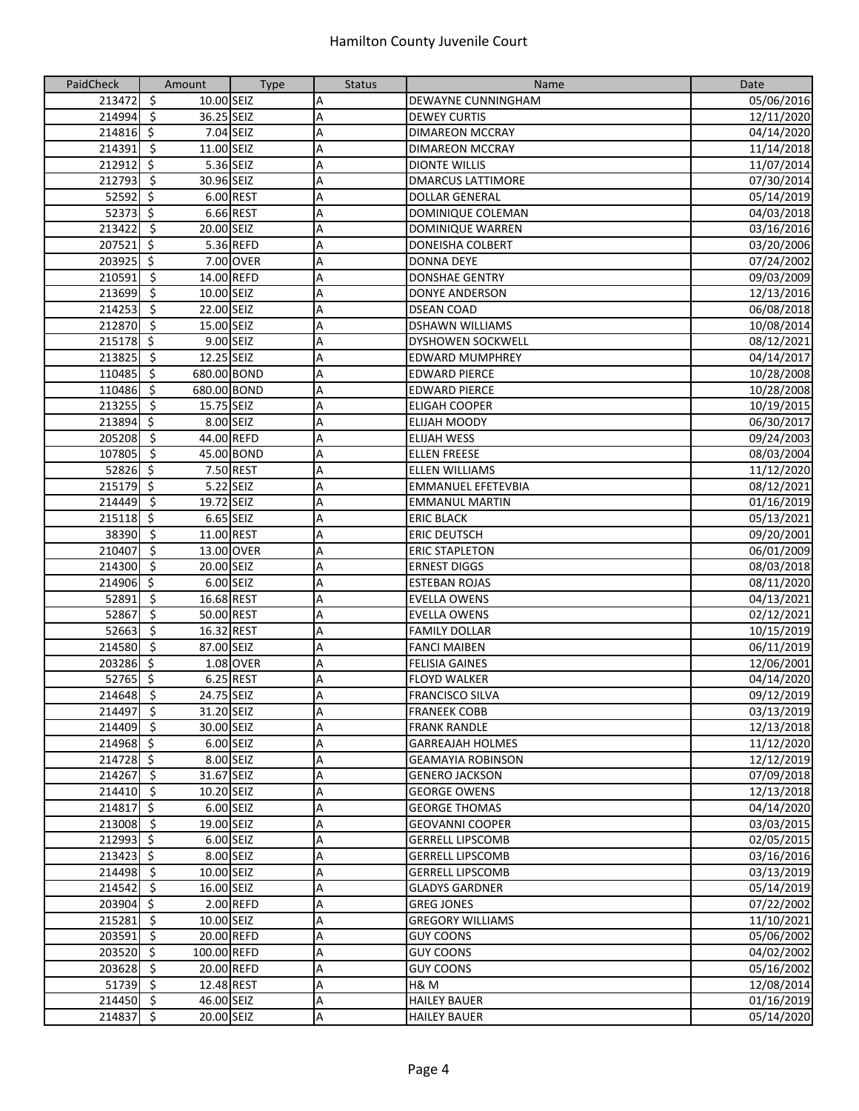| PaidCheck              | Amount                                 | <b>Type</b> | <b>Status</b> | Name                      | Date       |
|------------------------|----------------------------------------|-------------|---------------|---------------------------|------------|
| 213472                 | $\zeta$<br>10.00 SEIZ                  |             | Α             | DEWAYNE CUNNINGHAM        | 05/06/2016 |
| 214994                 | $\overline{\mathbf{5}}$<br>36.25 SEIZ  |             | A             | <b>DEWEY CURTIS</b>       | 12/11/2020 |
| $21\overline{4816}$ \$ |                                        | 7.04 SEIZ   | Α             | <b>DIMAREON MCCRAY</b>    | 04/14/2020 |
| 214391                 | $\ddot{\varsigma}$<br>11.00 SEIZ       |             | A             | <b>DIMAREON MCCRAY</b>    | 11/14/2018 |
| 212912                 | \$                                     | 5.36 SEIZ   | Α             | <b>DIONTE WILLIS</b>      | 11/07/2014 |
| 212793                 | \$<br>30.96 SEIZ                       |             | А             | <b>DMARCUS LATTIMORE</b>  | 07/30/2014 |
| 52592                  | \$                                     | 6.00 REST   | A             | <b>DOLLAR GENERAL</b>     | 05/14/2019 |
| 52373                  | $\zeta$                                | 6.66 REST   | А             | DOMINIQUE COLEMAN         | 04/03/2018 |
| 213422                 | $\zeta$<br>20.00 SEIZ                  |             | А             | DOMINIQUE WARREN          | 03/16/2016 |
| 207521                 | $\overline{\mathbf{S}}$                | 5.36 REFD   | А             | <b>DONEISHA COLBERT</b>   | 03/20/2006 |
| 203925                 | $\overline{\mathcal{S}}$               | 7.00 OVER   | Α             | <b>DONNA DEYE</b>         | 07/24/2002 |
| 210591                 | $\overline{\mathbf{S}}$                | 14.00 REFD  | Α             | <b>DONSHAE GENTRY</b>     | 09/03/2009 |
| 213699                 | $\overline{\mathbf{5}}$<br>10.00 SEIZ  |             | Α             | <b>DONYE ANDERSON</b>     | 12/13/2016 |
| 214253                 | $\overline{\mathcal{S}}$<br>22.00 SEIZ |             | A             | <b>DSEAN COAD</b>         | 06/08/2018 |
| 212870                 | $\ddot{\varsigma}$<br>15.00 SEIZ       |             | A             | <b>DSHAWN WILLIAMS</b>    | 10/08/2014 |
| 215178                 | \$                                     | 9.00 SEIZ   | A             | <b>DYSHOWEN SOCKWELL</b>  | 08/12/2021 |
| 213825                 | \$<br>12.25 SEIZ                       |             | А             | <b>EDWARD MUMPHREY</b>    | 04/14/2017 |
| 110485                 | $\zeta$<br>680.00 BOND                 |             | А             | <b>EDWARD PIERCE</b>      | 10/28/2008 |
| 110486                 | \$<br>680.00 BOND                      |             | Α             | <b>EDWARD PIERCE</b>      | 10/28/2008 |
| 213255                 | $\ddot{\mathsf{s}}$<br>15.75 SEIZ      |             | Α             | <b>ELIGAH COOPER</b>      | 10/19/2015 |
| 213894                 | $\overline{\mathbf{S}}$                | 8.00 SEIZ   | А             | <b>ELIJAH MOODY</b>       | 06/30/2017 |
| 205208                 | $\ddot{\varsigma}$                     | 44.00 REFD  | Α             | <b>ELIJAH WESS</b>        | 09/24/2003 |
| 107805                 | $\ddot{\varsigma}$                     | 45.00 BOND  | Α             | <b>ELLEN FREESE</b>       | 08/03/2004 |
| 52826                  | $\overline{\mathcal{S}}$               | 7.50 REST   | Α             | <b>ELLEN WILLIAMS</b>     | 11/12/2020 |
| 215179                 | ्                                      | 5.22 SEIZ   | Α             | <b>EMMANUEL EFETEVBIA</b> | 08/12/2021 |
| 214449                 | \$<br>19.72 SEIZ                       |             | A             | <b>EMMANUL MARTIN</b>     | 01/16/2019 |
| 215118                 | $\mathsf{S}$                           | 6.65 SEIZ   | A             | <b>ERIC BLACK</b>         | 05/13/2021 |
| 38390                  | $\overline{\mathbf{5}}$<br>11.00 REST  |             | А             | <b>ERIC DEUTSCH</b>       | 09/20/2001 |
| 210407                 | \$                                     | 13.00 OVER  | А             | <b>ERIC STAPLETON</b>     | 06/01/2009 |
| 214300                 | Ŝ.<br>20.00 SEIZ                       |             | A             | <b>ERNEST DIGGS</b>       | 08/03/2018 |
| 214906                 | $\zeta$                                | 6.00 SEIZ   | А             | <b>ESTEBAN ROJAS</b>      | 08/11/2020 |
| 52891                  | ऽ<br>16.68 REST                        |             | Α             | <b>EVELLA OWENS</b>       | 04/13/2021 |
| 52867                  | $\overline{\xi}$<br>50.00 REST         |             | Α             | <b>EVELLA OWENS</b>       | 02/12/2021 |
| 52663                  | $\zeta$<br>16.32 REST                  |             | А             | <b>FAMILY DOLLAR</b>      | 10/15/2019 |
| 214580                 | $\overline{\mathbf{S}}$<br>87.00 SEIZ  |             | Α             | <b>FANCI MAIBEN</b>       | 06/11/2019 |
| 203286                 | $\zeta$                                | 1.08 OVER   | A             | <b>FELISIA GAINES</b>     | 12/06/2001 |
| $52765$ \$             |                                        | 6.25 REST   | Α             | <b>FLOYD WALKER</b>       | 04/14/2020 |
| 214648                 | \$<br>24.75 SEIZ                       |             | A             | <b>FRANCISCO SILVA</b>    | 09/12/2019 |
| 214497 \$              | 31.20 SEIZ                             |             | Α             | <b>FRANEEK COBB</b>       | 03/13/2019 |
| 214409 \$              | 30.00 SEIZ                             |             | A             | <b>FRANK RANDLE</b>       | 12/13/2018 |
| 214968 \$              |                                        | 6.00 SEIZ   | А             | <b>GARREAJAH HOLMES</b>   | 11/12/2020 |
| 214728 \$              |                                        | 8.00 SEIZ   | Α             | <b>GEAMAYIA ROBINSON</b>  | 12/12/2019 |
| 214267 \$              | 31.67 SEIZ                             |             | А             | <b>GENERO JACKSON</b>     | 07/09/2018 |
| 214410                 | - \$<br>10.20 SEIZ                     |             | Α             | <b>GEORGE OWENS</b>       | 12/13/2018 |
| 214817                 | $\zeta$                                | 6.00 SEIZ   | А             | <b>GEORGE THOMAS</b>      | 04/14/2020 |
| 213008                 | $\overline{\mathbf{S}}$<br>19.00 SEIZ  |             | А             | <b>GEOVANNI COOPER</b>    | 03/03/2015 |
| $212993$ \$            |                                        | 6.00 SEIZ   | Α             | <b>GERRELL LIPSCOMB</b>   | 02/05/2015 |
| $213423$ \$            |                                        | 8.00 SEIZ   | Α             | <b>GERRELL LIPSCOMB</b>   | 03/16/2016 |
| 214498 \$              | 10.00 SEIZ                             |             | Α             | <b>GERRELL LIPSCOMB</b>   | 03/13/2019 |
| 214542 \$              | 16.00 SEIZ                             |             | А             | <b>GLADYS GARDNER</b>     | 05/14/2019 |
| 203904 \$              |                                        | 2.00 REFD   | А             | <b>GREG JONES</b>         | 07/22/2002 |
| $215281$ \$            | 10.00 SEIZ                             |             | А             | <b>GREGORY WILLIAMS</b>   | 11/10/2021 |
| 203591                 | $\ddot{\mathsf{S}}$                    | 20.00 REFD  | А             | <b>GUY COONS</b>          | 05/06/2002 |
| 203520 \$              | 100.00 REFD                            |             | Α             | <b>GUY COONS</b>          | 04/02/2002 |
| 203628                 | $\ddot{\varsigma}$                     | 20.00 REFD  | А             | <b>GUY COONS</b>          | 05/16/2002 |
| 51739                  | $\ddot{\varsigma}$<br>12.48 REST       |             | А             | H& M                      | 12/08/2014 |
| $214450$ \$            | 46.00 SEIZ                             |             | А             | <b>HAILEY BAUER</b>       | 01/16/2019 |
| 214837 \$              | 20.00 SEIZ                             |             | А             | <b>HAILEY BAUER</b>       | 05/14/2020 |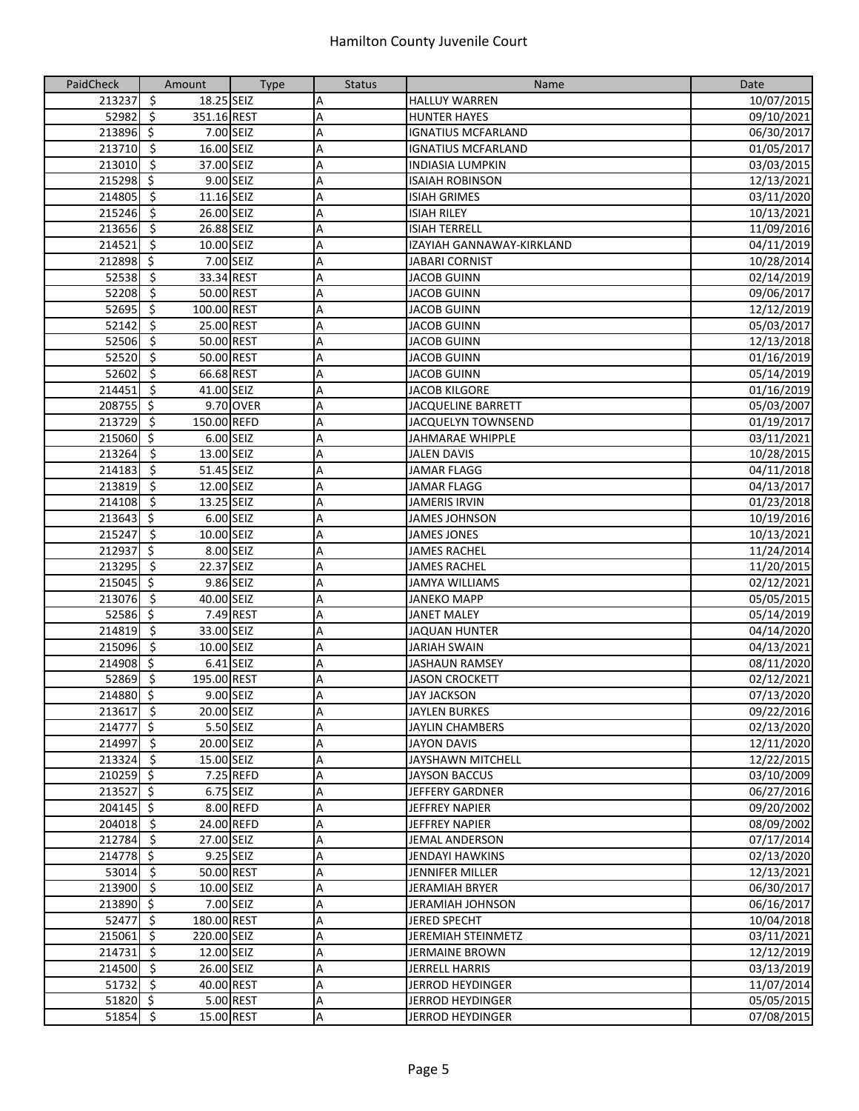| PaidCheck              | Amount                                         | <b>Type</b> | <b>Status</b> | Name                      | Date       |
|------------------------|------------------------------------------------|-------------|---------------|---------------------------|------------|
| 213237                 | $\zeta$<br>18.25 SEIZ                          |             | А             | <b>HALLUY WARREN</b>      | 10/07/2015 |
| 52982                  | $\overline{\boldsymbol{\zeta}}$<br>351.16 REST |             | A             | <b>HUNTER HAYES</b>       | 09/10/2021 |
| 213896 \$              |                                                | 7.00 SEIZ   | A             | <b>IGNATIUS MCFARLAND</b> | 06/30/2017 |
| 213710                 | $\ddot{\mathsf{s}}$<br>16.00 SEIZ              |             | A             | <b>IGNATIUS MCFARLAND</b> | 01/05/2017 |
| 213010                 | $\overline{\mathbf{5}}$<br>37.00 SEIZ          |             | А             | <b>INDIASIA LUMPKIN</b>   | 03/03/2015 |
| 215298                 | $\ddot{\mathsf{S}}$                            | 9.00 SEIZ   | А             | <b>ISAIAH ROBINSON</b>    | 12/13/2021 |
| 214805                 | \$<br>11.16 SEIZ                               |             | Α             | <b>ISIAH GRIMES</b>       | 03/11/2020 |
| 215246                 | - \$<br>26.00 SEIZ                             |             | А             | <b>ISIAH RILEY</b>        | 10/13/2021 |
| 213656                 | $\ddot{\varsigma}$<br>26.88 SEIZ               |             | А             | <b>ISIAH TERRELL</b>      | 11/09/2016 |
| 214521                 | ऽ<br>10.00 SEIZ                                |             | A             | IZAYIAH GANNAWAY-KIRKLAND | 04/11/2019 |
| 212898                 | $\zeta$                                        | 7.00 SEIZ   | А             | <b>JABARI CORNIST</b>     | 10/28/2014 |
| 52538                  | $\overline{\mathcal{S}}$<br>33.34 REST         |             | Α             | <b>JACOB GUINN</b>        | 02/14/2019 |
| 52208                  | $\overline{\mathcal{S}}$<br>50.00 REST         |             | Α             | <b>JACOB GUINN</b>        | 09/06/2017 |
| 52695                  | $\overline{\mathbf{5}}$<br>100.00 REST         |             | Α             | <b>JACOB GUINN</b>        | 12/12/2019 |
| 52142                  | $\zeta$<br>25.00 REST                          |             | A             | <b>JACOB GUINN</b>        | 05/03/2017 |
| 52506                  | -\$<br>50.00 REST                              |             | А             | <b>JACOB GUINN</b>        | 12/13/2018 |
| 52520                  | -\$<br>50.00 REST                              |             | А             | <b>JACOB GUINN</b>        | 01/16/2019 |
| 52602                  | 66.68 REST<br>-\$                              |             | Α             | <b>JACOB GUINN</b>        | 05/14/2019 |
| 214451                 | $\zeta$<br>41.00 SEIZ                          |             | А             | <b>JACOB KILGORE</b>      | 01/16/2019 |
| 208755                 | $\ddot{\varsigma}$                             | 9.70 OVER   | А             | <b>JACQUELINE BARRETT</b> | 05/03/2007 |
| 213729                 | $\overline{\mathbf{5}}$<br>150.00 REFD         |             | Α             | JACQUELYN TOWNSEND        | 01/19/2017 |
| 215060                 | $\ddot{\mathsf{S}}$                            | 6.00 SEIZ   | Α             | <b>JAHMARAE WHIPPLE</b>   | 03/11/2021 |
| 213264                 | $\overline{\mathcal{S}}$<br>13.00 SEIZ         |             | A             | <b>JALEN DAVIS</b>        | 10/28/2015 |
| 214183                 | $\overline{\mathbf{v}}$<br>51.45 SEIZ          |             | Α             | <b>JAMAR FLAGG</b>        | 04/11/2018 |
| 213819                 | $\overline{\phantom{a}}$<br>12.00 SEIZ         |             | A             | <b>JAMAR FLAGG</b>        | 04/13/2017 |
| 214108                 | \$<br>13.25 SEIZ                               |             | Α             | <b>JAMERIS IRVIN</b>      | 01/23/2018 |
| 213643                 | $\ddot{\mathsf{S}}$                            | 6.00 SEIZ   | Α             | <b>JAMES JOHNSON</b>      | 10/19/2016 |
| 215247                 | $\zeta$<br>10.00 SEIZ                          |             | А             | <b>JAMES JONES</b>        | 10/13/2021 |
| 212937                 | $\ddot{\mathsf{S}}$                            | 8.00 SEIZ   | Α             | <b>JAMES RACHEL</b>       | 11/24/2014 |
| 213295                 | $\overline{\boldsymbol{\zeta}}$<br>22.37 SEIZ  |             | А             | <b>JAMES RACHEL</b>       | 11/20/2015 |
| 215045                 | $\ddot{\varsigma}$                             | 9.86 SEIZ   | А             | <b>JAMYA WILLIAMS</b>     | 02/12/2021 |
| 213076                 | $\overline{\mathbf{5}}$<br>40.00 SEIZ          |             | А             | <b>JANEKO MAPP</b>        | 05/05/2015 |
| 52586                  | $\ddot{\mathsf{S}}$                            | 7.49 REST   | А             | <b>JANET MALEY</b>        | 05/14/2019 |
| 214819                 | $\overline{\mathbf{5}}$<br>33.00 SEIZ          |             | Α             | <b>JAQUAN HUNTER</b>      | 04/14/2020 |
| 215096                 | $\overline{\mathbf{5}}$<br>10.00 SEIZ          |             | A             | <b>JARIAH SWAIN</b>       | 04/13/2021 |
| 214908 \$              |                                                | 6.41 SEIZ   | А             | <b>JASHAUN RAMSEY</b>     | 08/11/2020 |
| 52869                  | -\$<br>195.00 REST                             |             | A             | <b>JASON CROCKETT</b>     | 02/12/2021 |
| 214880 \$              |                                                | 9.00 SEIZ   | A             | <b>JAY JACKSON</b>        | 07/13/2020 |
| $213617$ \$            | 20.00 SEIZ                                     |             | A             | <b>JAYLEN BURKES</b>      | 09/22/2016 |
| 214777 \$              |                                                | 5.50 SEIZ   | A             | <b>JAYLIN CHAMBERS</b>    | 02/13/2020 |
| 214997 \$              | 20.00 SEIZ                                     |             | А             | <b>JAYON DAVIS</b>        | 12/11/2020 |
| 213324 \$              | 15.00 SEIZ                                     |             | Α             | <b>JAYSHAWN MITCHELL</b>  | 12/22/2015 |
| 210259 \$              |                                                | 7.25 REFD   | А             | <b>JAYSON BACCUS</b>      | 03/10/2009 |
| $21\overline{3527}$ \$ |                                                | 6.75 SEIZ   | А             | JEFFERY GARDNER           | 06/27/2016 |
| $204145$ \$            |                                                | 8.00 REFD   | А             | <b>JEFFREY NAPIER</b>     | 09/20/2002 |
| 204018 \$              |                                                | 24.00 REFD  | A             | <b>JEFFREY NAPIER</b>     | 08/09/2002 |
| 212784 \$              | 27.00 SEIZ                                     |             | А             | <b>JEMAL ANDERSON</b>     | 07/17/2014 |
| $214778$ \$            |                                                | 9.25 SEIZ   | A             | <b>JENDAYI HAWKINS</b>    | 02/13/2020 |
| $53014$ \$             | 50.00 REST                                     |             | Α             | JENNIFER MILLER           | 12/13/2021 |
| 213900 \$              | 10.00 SEIZ                                     |             | А             | <b>JERAMIAH BRYER</b>     | 06/30/2017 |
| 213890 \$              |                                                | 7.00 SEIZ   | А             | JERAMIAH JOHNSON          | 06/16/2017 |
| 52477 \$               | 180.00 REST                                    |             | А             | JERED SPECHT              | 10/04/2018 |
| 215061 \$              | 220.00 SEIZ                                    |             | Α             | <b>JEREMIAH STEINMETZ</b> | 03/11/2021 |
| 214731                 | $\ddot{\varsigma}$<br>12.00 SEIZ               |             | А             | <b>JERMAINE BROWN</b>     | 12/12/2019 |
| $21\overline{4500}$ \$ | 26.00 SEIZ                                     |             | А             | <b>JERRELL HARRIS</b>     | 03/13/2019 |
| 51732                  | $\ddot{\varsigma}$<br>40.00 REST               |             | А             | <b>JERROD HEYDINGER</b>   | 11/07/2014 |
| $51820 \div$           |                                                | 5.00 REST   | А             | JERROD HEYDINGER          | 05/05/2015 |
| $51854 - 5$            |                                                | 15.00 REST  | А             | <b>JERROD HEYDINGER</b>   | 07/08/2015 |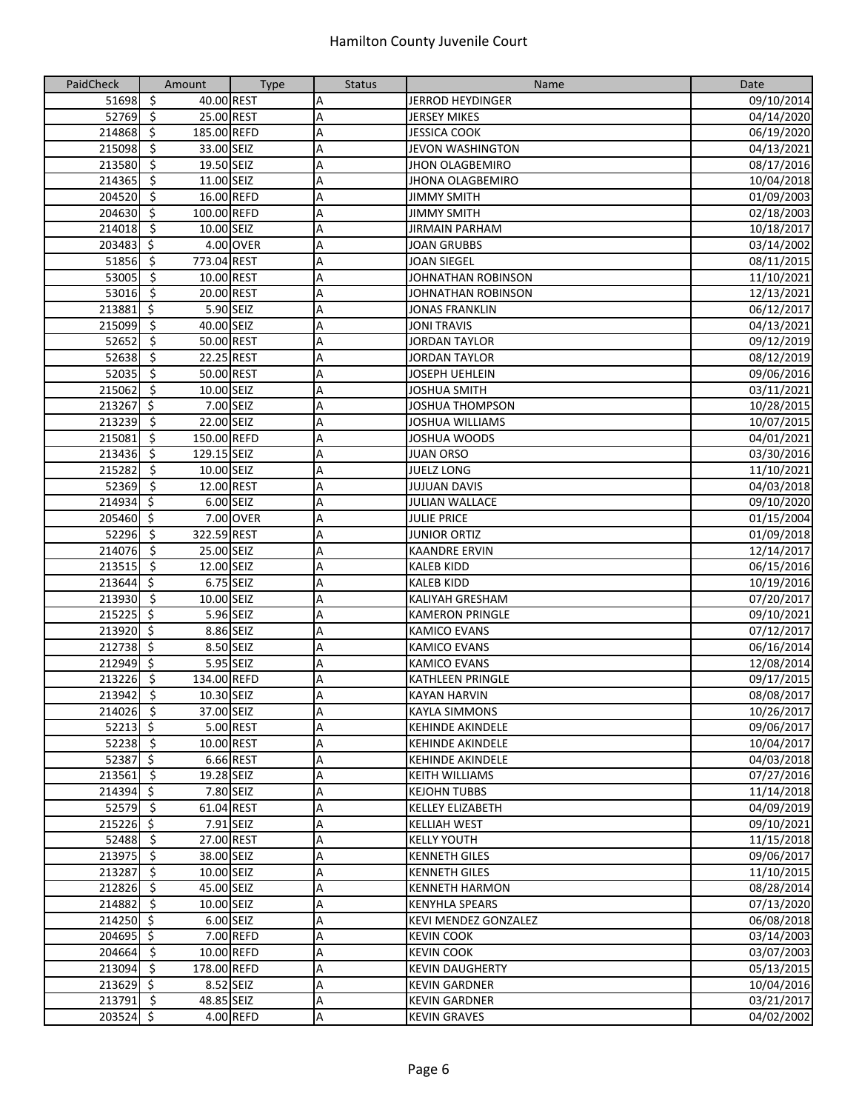| PaidCheck   | Amount                                        | <b>Type</b> | <b>Status</b> | Name                        | Date       |
|-------------|-----------------------------------------------|-------------|---------------|-----------------------------|------------|
| 51698       | $\ddot{\varsigma}$<br>40.00 REST              |             | Α             | <b>JERROD HEYDINGER</b>     | 09/10/2014 |
| 52769       | $\overline{\mathbf{5}}$<br>25.00 REST         |             | Α             | <b>JERSEY MIKES</b>         | 04/14/2020 |
| 214868      | $\overline{\mathsf{S}}$<br>185.00 REFD        |             | A             | <b>JESSICA COOK</b>         | 06/19/2020 |
| 215098      | $\overline{\mathbf{5}}$<br>33.00 SEIZ         |             | A             | <b>JEVON WASHINGTON</b>     | 04/13/2021 |
| 213580      | $\overline{\mathbf{5}}$<br>19.50 SEIZ         |             | A             | <b>JHON OLAGBEMIRO</b>      | 08/17/2016 |
| 214365      | $\zeta$<br>11.00 SEIZ                         |             | А             | <b>JHONA OLAGBEMIRO</b>     | 10/04/2018 |
| 204520      | -\$<br>16.00 REFD                             |             | Α             | <b>JIMMY SMITH</b>          | 01/09/2003 |
| 204630      | -\$<br>100.00 REFD                            |             | Α             | <b>JIMMY SMITH</b>          | 02/18/2003 |
| 214018      | -\$<br>10.00 SEIZ                             |             | Α             | <b>JIRMAIN PARHAM</b>       | 10/18/2017 |
| 203483 \$   |                                               | 4.00 OVER   | Α             | JOAN GRUBBS                 | 03/14/2002 |
| 51856       | $\ddot{\varsigma}$<br>773.04 REST             |             | A             | <b>JOAN SIEGEL</b>          | 08/11/2015 |
| 53005       | $\overline{\mathbf{v}}$<br>10.00 REST         |             | Α             | JOHNATHAN ROBINSON          | 11/10/2021 |
| 53016       | \$<br>20.00 REST                              |             | А             | JOHNATHAN ROBINSON          | 12/13/2021 |
| 213881      | $\overline{\mathbf{S}}$                       | 5.90 SEIZ   | A             | <b>JONAS FRANKLIN</b>       | 06/12/2017 |
| 215099      | $\overline{\mathbf{S}}$<br>40.00 SEIZ         |             | A             | <b>JONI TRAVIS</b>          | 04/13/2021 |
| 52652       | ऽ<br>50.00 REST                               |             | A             | <b>JORDAN TAYLOR</b>        | 09/12/2019 |
| 52638       | \$<br>22.25 REST                              |             | А             | <b>JORDAN TAYLOR</b>        | 08/12/2019 |
| 52035       | $\zeta$<br>50.00 REST                         |             | А             | <b>JOSEPH UEHLEIN</b>       | 09/06/2016 |
| 215062      | \$<br>10.00 SEIZ                              |             | Α             | JOSHUA SMITH                | 03/11/2021 |
| 213267      | $\ddot{\mathsf{S}}$                           | 7.00 SEIZ   | А             | JOSHUA THOMPSON             | 10/28/2015 |
| 213239      | $\overline{\boldsymbol{\zeta}}$<br>22.00 SEIZ |             | А             | <b>JOSHUA WILLIAMS</b>      | 10/07/2015 |
| 215081      | $\zeta$<br>150.00 REFD                        |             | Α             | <b>JOSHUA WOODS</b>         | 04/01/2021 |
| 213436      | $\zeta$<br>129.15 SEIZ                        |             | Α             | <b>JUAN ORSO</b>            | 03/30/2016 |
| 215282      | $\overline{\mathfrak{s}}$<br>10.00 SEIZ       |             | Α             | <b>JUELZ LONG</b>           | 11/10/2021 |
| 52369       | $\overline{\mathbf{S}}$<br>12.00 REST         |             | A             | <b>JUJUAN DAVIS</b>         | 04/03/2018 |
| 214934 \$   |                                               | 6.00 SEIZ   | A             | <b>JULIAN WALLACE</b>       | 09/10/2020 |
| 205460 \$   |                                               | 7.00 OVER   | A             | <b>JULIE PRICE</b>          | 01/15/2004 |
| $52296$ \$  | 322.59 REST                                   |             | А             | <b>JUNIOR ORTIZ</b>         | 01/09/2018 |
| 214076      | - \$<br>25.00 SEIZ                            |             | А             | <b>KAANDRE ERVIN</b>        | 12/14/2017 |
| 213515      | \$<br>12.00 SEIZ                              |             | Α             | <b>KALEB KIDD</b>           | 06/15/2016 |
| 213644 \$   |                                               | 6.75 SEIZ   | А             | <b>KALEB KIDD</b>           | 10/19/2016 |
| $213930$ \$ | 10.00 SEIZ                                    |             | А             | <b>KALIYAH GRESHAM</b>      | 07/20/2017 |
| 215225      | $\ddot{\mathsf{S}}$                           | 5.96 SEIZ   | Α             | <b>KAMERON PRINGLE</b>      | 09/10/2021 |
| 213920 \$   |                                               | 8.86 SEIZ   | А             | <b>KAMICO EVANS</b>         | 07/12/2017 |
| $212738$ \$ |                                               | 8.50 SEIZ   | Α             | <b>KAMICO EVANS</b>         | 06/16/2014 |
| 212949 \$   |                                               | 5.95 SEIZ   | A             | <b>KAMICO EVANS</b>         | 12/08/2014 |
| $213226$ \$ | 134.00 REFD                                   |             | Α             | <b>KATHLEEN PRINGLE</b>     | 09/17/2015 |
| 213942      | \$<br>10.30 SEIZ                              |             | Α             | <b>KAYAN HARVIN</b>         | 08/08/2017 |
| 214026 \$   | 37.00 SEIZ                                    |             | A             | <b>KAYLA SIMMONS</b>        | 10/26/2017 |
| $52213$ \$  |                                               | 5.00 REST   | А             | <b>KEHINDE AKINDELE</b>     | 09/06/2017 |
| $52238$ \$  |                                               | 10.00 REST  | А             | <b>KEHINDE AKINDELE</b>     | 10/04/2017 |
| $52387$ \$  |                                               | 6.66 REST   | Α             | <b>KEHINDE AKINDELE</b>     | 04/03/2018 |
| $213561$ \$ | 19.28 SEIZ                                    |             | А             | <b>KEITH WILLIAMS</b>       | 07/27/2016 |
| 214394 \$   |                                               | 7.80 SEIZ   | А             | <b>KEJOHN TUBBS</b>         | 11/14/2018 |
| 52579 \$    | 61.04 REST                                    |             | А             | <b>KELLEY ELIZABETH</b>     | 04/09/2019 |
| $215226$ \$ |                                               | 7.91 SEIZ   | Α             | <b>KELLIAH WEST</b>         | 09/10/2021 |
| $52488$ \$  | 27.00 REST                                    |             | Α             | <b>KELLY YOUTH</b>          | 11/15/2018 |
| $213975$ \$ | 38.00 SEIZ                                    |             | Α             | <b>KENNETH GILES</b>        | 09/06/2017 |
| 213287      | $\ddot{\mathsf{s}}$<br>10.00 SEIZ             |             | Α             | <b>KENNETH GILES</b>        | 11/10/2015 |
| $212826$ \$ | 45.00 SEIZ                                    |             | А             | <b>KENNETH HARMON</b>       | 08/28/2014 |
| 214882 \$   | 10.00 SEIZ                                    |             | А             | <b>KENYHLA SPEARS</b>       | 07/13/2020 |
| 214250 \$   |                                               | 6.00 SEIZ   | А             | <b>KEVI MENDEZ GONZALEZ</b> | 06/08/2018 |
| 204695 \$   |                                               | 7.00 REFD   | А             | <b>KEVIN COOK</b>           | 03/14/2003 |
| 204664 \$   |                                               | 10.00 REFD  | А             | <b>KEVIN COOK</b>           | 03/07/2003 |
| 213094 \$   | 178.00 REFD                                   |             | А             | <b>KEVIN DAUGHERTY</b>      | 05/13/2015 |
| $213629$ \$ |                                               | 8.52 SEIZ   | А             | <b>KEVIN GARDNER</b>        | 10/04/2016 |
| $213791$ \$ | 48.85 SEIZ                                    |             | А             | <b>KEVIN GARDNER</b>        | 03/21/2017 |
| $203524$ \$ |                                               | 4.00 REFD   | А             | <b>KEVIN GRAVES</b>         | 04/02/2002 |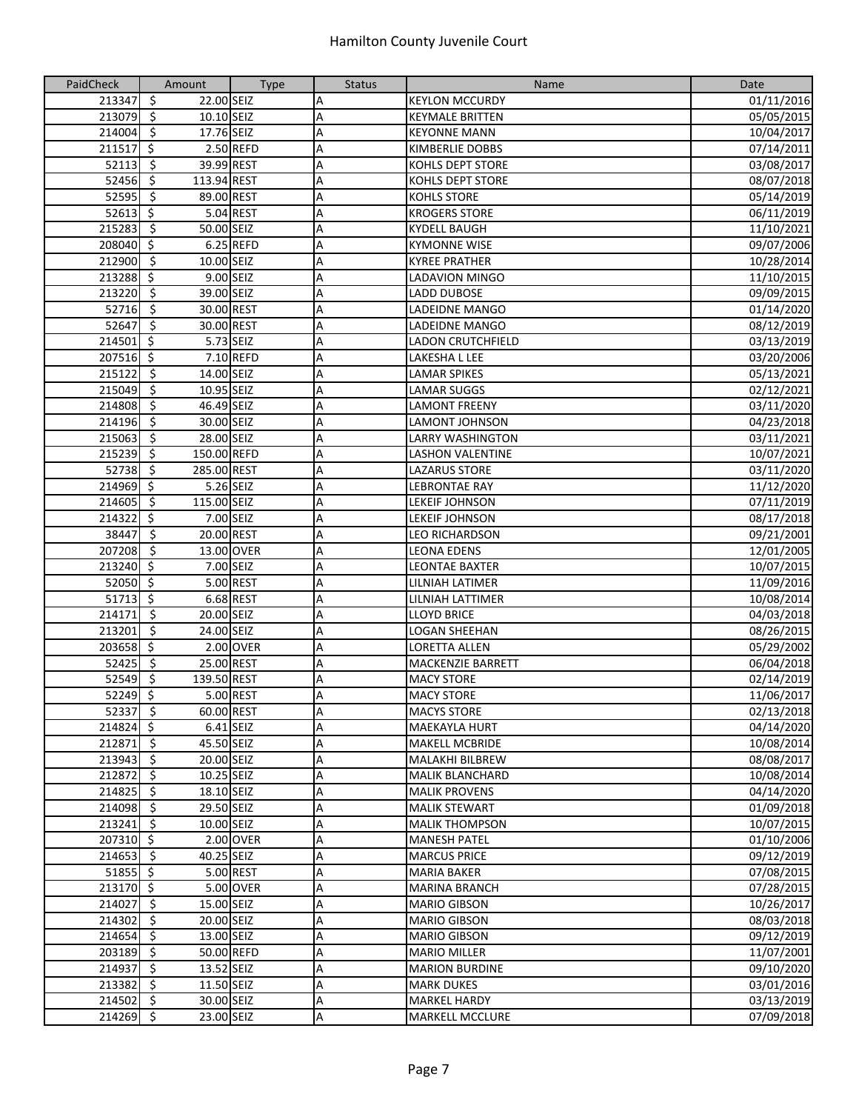| PaidCheck              | Amount                                        | <b>Type</b> | <b>Status</b>             | Name                     | Date       |
|------------------------|-----------------------------------------------|-------------|---------------------------|--------------------------|------------|
| 213347                 | $\zeta$<br>22.00 SEIZ                         |             | Α                         | <b>KEYLON MCCURDY</b>    | 01/11/2016 |
| 213079                 | $\overline{\boldsymbol{\zeta}}$<br>10.10 SEIZ |             | A                         | <b>KEYMALE BRITTEN</b>   | 05/05/2015 |
| $214004$ \$            | 17.76 SEIZ                                    |             | A                         | <b>KEYONNE MANN</b>      | 10/04/2017 |
| 211517                 | $\zeta$                                       | 2.50 REFD   | A                         | <b>KIMBERLIE DOBBS</b>   | 07/14/2011 |
| 52113                  | $\overline{\mathbf{5}}$<br>39.99 REST         |             | Α                         | KOHLS DEPT STORE         | 03/08/2017 |
| 52456                  | -\$<br>113.94 REST                            |             | А                         | <b>KOHLS DEPT STORE</b>  | 08/07/2018 |
| 52595                  | -\$<br>89.00 REST                             |             | A                         | <b>KOHLS STORE</b>       | 05/14/2019 |
| 52613                  | -\$                                           | 5.04 REST   | A                         | <b>KROGERS STORE</b>     | 06/11/2019 |
| 215283                 | -\$<br>50.00 SEIZ                             |             | A                         | <b>KYDELL BAUGH</b>      | 11/10/2021 |
| 208040 \$              |                                               | 6.25 REFD   | A                         | <b>KYMONNE WISE</b>      | 09/07/2006 |
| $212900$ \$            | 10.00 SEIZ                                    |             | A                         | <b>KYREE PRATHER</b>     | 10/28/2014 |
| 213288                 | ्र                                            | 9.00 SEIZ   | A                         | <b>LADAVION MINGO</b>    | 11/10/2015 |
| 213220                 | $\overline{\boldsymbol{\zeta}}$<br>39.00 SEIZ |             | A                         | LADD DUBOSE              | 09/09/2015 |
| 52716                  | \$<br>30.00 REST                              |             | A                         | LADEIDNE MANGO           | 01/14/2020 |
| 52647                  | $\ddot{\mathsf{s}}$<br>30.00 REST             |             | A                         | <b>LADEIDNE MANGO</b>    | 08/12/2019 |
| 214501                 | \$                                            | 5.73 SEIZ   | Α                         | <b>LADON CRUTCHFIELD</b> | 03/13/2019 |
| 207516 \$              |                                               | 7.10 REFD   | А                         | LAKESHA L LEE            | 03/20/2006 |
| 215122                 | $\ddot{\varsigma}$<br>14.00 SEIZ              |             | А                         | <b>LAMAR SPIKES</b>      | 05/13/2021 |
| 215049                 | -\$<br>10.95 SEIZ                             |             | A                         | <b>LAMAR SUGGS</b>       | 02/12/2021 |
|                        | 46.49 SEIZ<br>-\$                             |             |                           | <b>LAMONT FREENY</b>     |            |
| 214808                 | $\overline{\boldsymbol{\zeta}}$<br>30.00 SEIZ |             | А                         |                          | 03/11/2020 |
| 214196                 |                                               |             | A                         | LAMONT JOHNSON           | 04/23/2018 |
| 215063                 | \$<br>28.00 SEIZ                              |             | A                         | <b>LARRY WASHINGTON</b>  | 03/11/2021 |
| 215239                 | $\overline{\mathbf{5}}$<br>150.00 REFD        |             | A                         | <b>LASHON VALENTINE</b>  | 10/07/2021 |
| 52738                  | \$<br>285.00 REST                             |             | $\overline{A}$            | <b>LAZARUS STORE</b>     | 03/11/2020 |
| $21\overline{4969}$ \$ |                                               | 5.26 SEIZ   | A                         | <b>LEBRONTAE RAY</b>     | 11/12/2020 |
| 214605                 | $\ddot{\mathsf{s}}$<br>115.00 SEIZ            |             | A                         | LEKEIF JOHNSON           | 07/11/2019 |
| 214322                 | $\zeta$                                       | 7.00 SEIZ   | A                         | <b>LEKEIF JOHNSON</b>    | 08/17/2018 |
| 38447                  | -\$<br>20.00 REST                             |             | A                         | LEO RICHARDSON           | 09/21/2001 |
| 207208                 | -\$                                           | 13.00 OVER  | A                         | <b>LEONA EDENS</b>       | 12/01/2005 |
| 213240                 | -\$                                           | 7.00 SEIZ   | A                         | LEONTAE BAXTER           | 10/07/2015 |
| 52050 \$               |                                               | 5.00 REST   | A                         | LILNIAH LATIMER          | 11/09/2016 |
| 51713 \$               |                                               | 6.68 REST   | A                         | LILNIAH LATTIMER         | 10/08/2014 |
| 214171                 | $\ddot{\varsigma}$<br>20.00 SEIZ              |             | A                         | <b>LLOYD BRICE</b>       | 04/03/2018 |
| 213201                 | $\ddot{\mathsf{S}}$<br>24.00 SEIZ             |             | А                         | <b>LOGAN SHEEHAN</b>     | 08/26/2015 |
| 203658                 | ्र                                            | 2.00 OVER   | $\overline{A}$            | <b>LORETTA ALLEN</b>     | 05/29/2002 |
| 52425                  | $\overline{\boldsymbol{\zeta}}$<br>25.00 REST |             | A                         | <b>MACKENZIE BARRETT</b> | 06/04/2018 |
| $52549$ \$             | 139.50 REST                                   |             | Α                         | <b>MACY STORE</b>        | 02/14/2019 |
| $52249$ \$             |                                               | 5.00 REST   | A                         | <b>MACY STORE</b>        | 11/06/2017 |
| $52337$ \$             | 60.00 REST                                    |             | A                         | <b>MACYS STORE</b>       | 02/13/2018 |
| $214824$ \$            |                                               | $6.41$ SEIZ | A                         | <b>MAEKAYLA HURT</b>     | 04/14/2020 |
| 212871 \$              | 45.50 SEIZ                                    |             | A                         | <b>MAKELL MCBRIDE</b>    | 10/08/2014 |
| 213943 \$              | 20.00 SEIZ                                    |             | Α                         | <b>MALAKHI BILBREW</b>   | 08/08/2017 |
| 212872 \$              | 10.25 SEIZ                                    |             | Α                         | <b>MALIK BLANCHARD</b>   | 10/08/2014 |
| 214825                 | $\ddot{\mathsf{s}}$<br>18.10 SEIZ             |             | Α                         | <b>MALIK PROVENS</b>     | 04/14/2020 |
| 214098 \$              | 29.50 SEIZ                                    |             | Α                         | <b>MALIK STEWART</b>     | 01/09/2018 |
| $213241$ \$            | 10.00 SEIZ                                    |             | A                         | <b>MALIK THOMPSON</b>    | 10/07/2015 |
| 207310 \$              |                                               | 2.00 OVER   | Α                         | <b>MANESH PATEL</b>      | 01/10/2006 |
| $214653$ \$            | 40.25 SEIZ                                    |             | Α                         | <b>MARCUS PRICE</b>      | 09/12/2019 |
| 51855 \$               |                                               | 5.00 REST   | A                         | <b>MARIA BAKER</b>       | 07/08/2015 |
| 213170 \$              |                                               | 5.00 OVER   | A                         | <b>MARINA BRANCH</b>     | 07/28/2015 |
| 214027 \$              | 15.00 SEIZ                                    |             | A                         | <b>MARIO GIBSON</b>      | 10/26/2017 |
| 214302 \$              | 20.00 SEIZ                                    |             | А                         | <b>MARIO GIBSON</b>      | 08/03/2018 |
| 214654 \$              | 13.00 SEIZ                                    |             | A                         | <b>MARIO GIBSON</b>      | 09/12/2019 |
| 203189 \$              |                                               | 50.00 REFD  | Α                         | <b>MARIO MILLER</b>      | 11/07/2001 |
| 214937                 | \$<br>13.52 SEIZ                              |             | Α                         | <b>MARION BURDINE</b>    | 09/10/2020 |
| 213382                 | $\ddot{\varsigma}$<br>11.50 SEIZ              |             | Α                         | <b>MARK DUKES</b>        | 03/01/2016 |
| $214502 \div$          | 30.00 SEIZ                                    |             | $\boldsymbol{\mathsf{A}}$ | <b>MARKEL HARDY</b>      | 03/13/2019 |
| 214269 \$              | 23.00 SEIZ                                    |             | A                         | <b>MARKELL MCCLURE</b>   | 07/09/2018 |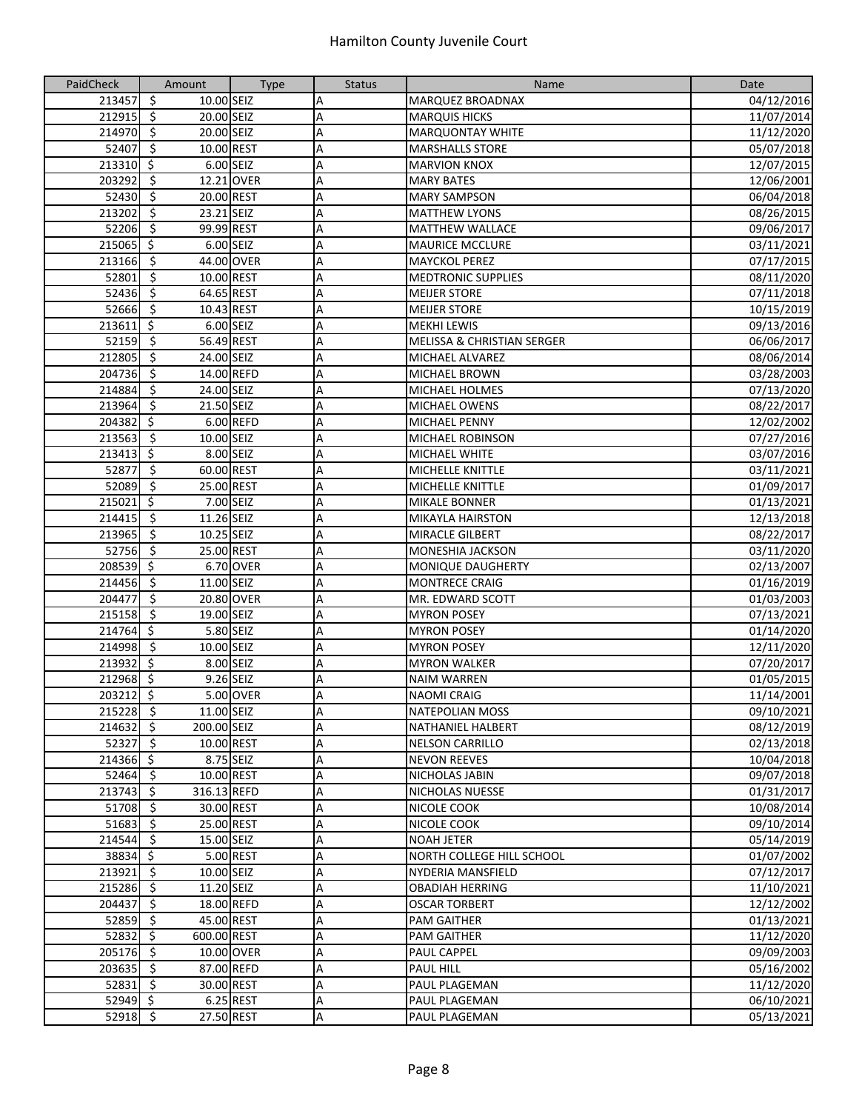| PaidCheck              | Amount                                                           | <b>Type</b> | <b>Status</b> | Name                                                | Date                     |
|------------------------|------------------------------------------------------------------|-------------|---------------|-----------------------------------------------------|--------------------------|
| 213457                 | $\ddot{\varsigma}$<br>10.00 SEIZ                                 |             | Α             | <b>MARQUEZ BROADNAX</b>                             | 04/12/2016               |
| 212915                 | $\overline{\mathbf{5}}$<br>20.00 SEIZ                            |             | A             | <b>MARQUIS HICKS</b>                                | 11/07/2014               |
| 214970                 | $\overline{\mathbf{5}}$<br>20.00 SEIZ                            |             | A             | <b>MARQUONTAY WHITE</b>                             | 11/12/2020               |
| 52407                  | $\ddot{\mathsf{s}}$<br>10.00 REST                                |             | A             | <b>MARSHALLS STORE</b>                              | 05/07/2018               |
| $213310$ \$            |                                                                  | 6.00 SEIZ   | A             | <b>MARVION KNOX</b>                                 | 12/07/2015               |
| 203292                 | \$                                                               | 12.21 OVER  | A             | <b>MARY BATES</b>                                   | 12/06/2001               |
| 52430                  | -\$<br>20.00 REST                                                |             | Α             | <b>MARY SAMPSON</b>                                 | 06/04/2018               |
| 213202                 | -\$<br>23.21 SEIZ                                                |             | A             | <b>MATTHEW LYONS</b>                                | 08/26/2015               |
| 52206                  | 99.99 REST<br>- \$                                               |             | A             | <b>MATTHEW WALLACE</b>                              | 09/06/2017               |
| $215065$ \$            |                                                                  | 6.00 SEIZ   | Α             | <b>MAURICE MCCLURE</b>                              | 03/11/2021               |
| 213166                 | -\$                                                              | 44.00 OVER  | A             | <b>MAYCKOL PEREZ</b>                                | 07/17/2015               |
| 52801                  | $\overline{\mathbf{5}}$<br>10.00 REST                            |             | A             | <b>MEDTRONIC SUPPLIES</b>                           | 08/11/2020               |
| 52436                  | $\overline{\mathbf{5}}$<br>64.65 REST                            |             | Α             | <b>MEIJER STORE</b>                                 | 07/11/2018               |
| 52666                  | $\overline{\mathbf{5}}$<br>10.43 REST                            |             | A             | <b>MEIJER STORE</b>                                 | 10/15/2019               |
| 213611                 | $\ddot{\mathsf{S}}$                                              | 6.00 SEIZ   | A             | <b>MEKHI LEWIS</b>                                  | 09/13/2016               |
| 52159                  | $\overline{\varsigma}$<br>56.49 REST                             |             | A             | <b>MELISSA &amp; CHRISTIAN SERGER</b>               | 06/06/2017               |
| 212805                 | -\$<br>24.00 SEIZ                                                |             | A             | <b>MICHAEL ALVAREZ</b>                              | 08/06/2014               |
| 204736                 | -\$                                                              | 14.00 REFD  | А             | <b>MICHAEL BROWN</b>                                | 03/28/2003               |
| 214884                 | -\$<br>24.00 SEIZ                                                |             | A             | <b>MICHAEL HOLMES</b>                               | 07/13/2020               |
| 213964                 | \$<br>21.50 SEIZ                                                 |             | A             | <b>MICHAEL OWENS</b>                                | 08/22/2017               |
| 204382                 | $\ddot{\mathsf{S}}$                                              | 6.00 REFD   | Α             | <b>MICHAEL PENNY</b>                                | 12/02/2002               |
|                        | \$<br>10.00 SEIZ                                                 |             |               | <b>MICHAEL ROBINSON</b>                             | 07/27/2016               |
| 213563                 | ऽ                                                                | 8.00 SEIZ   | A             |                                                     |                          |
| 213413                 |                                                                  |             | A             | <b>MICHAEL WHITE</b>                                | 03/07/2016               |
| 52877                  | $\overline{\mathbf{5}}$<br>60.00 REST<br>$\overline{\mathbf{5}}$ |             | A             | <b>MICHELLE KNITTLE</b>                             | 03/11/2021               |
| 52089                  | 25.00 REST<br>$\zeta$                                            |             | A             | <b>MICHELLE KNITTLE</b>                             | 01/09/2017               |
| 215021                 | $\overline{\mathbf{5}}$                                          | 7.00 SEIZ   | A             | <b>MIKALE BONNER</b>                                | 01/13/2021               |
| 214415                 | 11.26 SEIZ                                                       |             | A             | <b>MIKAYLA HAIRSTON</b>                             | 12/13/2018               |
| 213965                 | -\$<br>10.25 SEIZ                                                |             | Α             | <b>MIRACLE GILBERT</b>                              | 08/22/2017               |
| 52756<br>208539 \$     | -\$<br>25.00 REST                                                | 6.70 OVER   | А             | <b>MONESHIA JACKSON</b><br><b>MONIQUE DAUGHERTY</b> | 03/11/2020               |
|                        | \$<br>11.00 SEIZ                                                 |             | A<br>A        |                                                     | 02/13/2007               |
| 214456<br>204477       | $\overline{\mathbf{5}}$                                          | 20.80 OVER  | Α             | <b>MONTRECE CRAIG</b><br>MR. EDWARD SCOTT           | 01/16/2019<br>01/03/2003 |
| 215158                 | \$<br>19.00 SEIZ                                                 |             | A             | <b>MYRON POSEY</b>                                  | 07/13/2021               |
| 214764 \$              |                                                                  | 5.80 SEIZ   | A             | <b>MYRON POSEY</b>                                  | 01/14/2020               |
| 214998                 | $\overline{\mathbf{5}}$<br>10.00 SEIZ                            |             | A             | <b>MYRON POSEY</b>                                  | 12/11/2020               |
| 213932 \$              |                                                                  | 8.00 SEIZ   | A             | <b>MYRON WALKER</b>                                 | 07/20/2017               |
| $21\overline{2968}$ \$ |                                                                  | 9.26 SEIZ   | Α             | <b>NAIM WARREN</b>                                  | 01/05/2015               |
| 203212 \$              |                                                                  | 5.00 OVER   | A             | <b>NAOMI CRAIG</b>                                  | 11/14/2001               |
| 215228 \$              | 11.00 SEIZ                                                       |             | Α             | <b>NATEPOLIAN MOSS</b>                              | 09/10/2021               |
| $214632$ \$            | 200.00 SEIZ                                                      |             | Α             | <b>NATHANIEL HALBERT</b>                            | 08/12/2019               |
| $52327$ \$             |                                                                  | 10.00 REST  | A             | <b>NELSON CARRILLO</b>                              | 02/13/2018               |
| 214366 \$              |                                                                  | 8.75 SEIZ   | Α             | <b>NEVON REEVES</b>                                 | 10/04/2018               |
| $52464$ \$             |                                                                  | 10.00 REST  | Α             | NICHOLAS JABIN                                      | 09/07/2018               |
| 213743 \$              | 316.13 REFD                                                      |             | Α             | NICHOLAS NUESSE                                     | 01/31/2017               |
| 51708 \$               |                                                                  | 30.00 REST  | Α             | NICOLE COOK                                         | 10/08/2014               |
| 51683                  | $\ddot{\mathsf{S}}$                                              | 25.00 REST  | А             | NICOLE COOK                                         | 09/10/2014               |
| 214544 \$              | 15.00 SEIZ                                                       |             | Α             | <b>NOAH JETER</b>                                   | 05/14/2019               |
| $38834 \overline{5}$   |                                                                  | 5.00 REST   | Α             | NORTH COLLEGE HILL SCHOOL                           | 01/07/2002               |
| $213921$ \$            | 10.00 SEIZ                                                       |             | Α             | <b>NYDERIA MANSFIELD</b>                            | 07/12/2017               |
| $215286$ \$            | 11.20 SEIZ                                                       |             | Α             | <b>OBADIAH HERRING</b>                              | 11/10/2021               |
| 204437                 | - \$                                                             | 18.00 REFD  | Α             | <b>OSCAR TORBERT</b>                                | 12/12/2002               |
| $52859$ \$             |                                                                  | 45.00 REST  | A             | <b>PAM GAITHER</b>                                  | 01/13/2021               |
| $52832 \quad$ \$       | 600.00 REST                                                      |             | А             | PAM GAITHER                                         | 11/12/2020               |
| 205176 \$              |                                                                  | 10.00 OVER  | Α             | PAUL CAPPEL                                         | 09/09/2003               |
| 203635 \$              |                                                                  | 87.00 REFD  | A             | <b>PAUL HILL</b>                                    | 05/16/2002               |
| $52831$ \$             |                                                                  | 30.00 REST  | А             | PAUL PLAGEMAN                                       | 11/12/2020               |
| $52949$ \$             |                                                                  | 6.25 REST   | A             | PAUL PLAGEMAN                                       | 06/10/2021               |
| 52918 \$               |                                                                  | 27.50 REST  | A             | <b>PAUL PLAGEMAN</b>                                | 05/13/2021               |
|                        |                                                                  |             |               |                                                     |                          |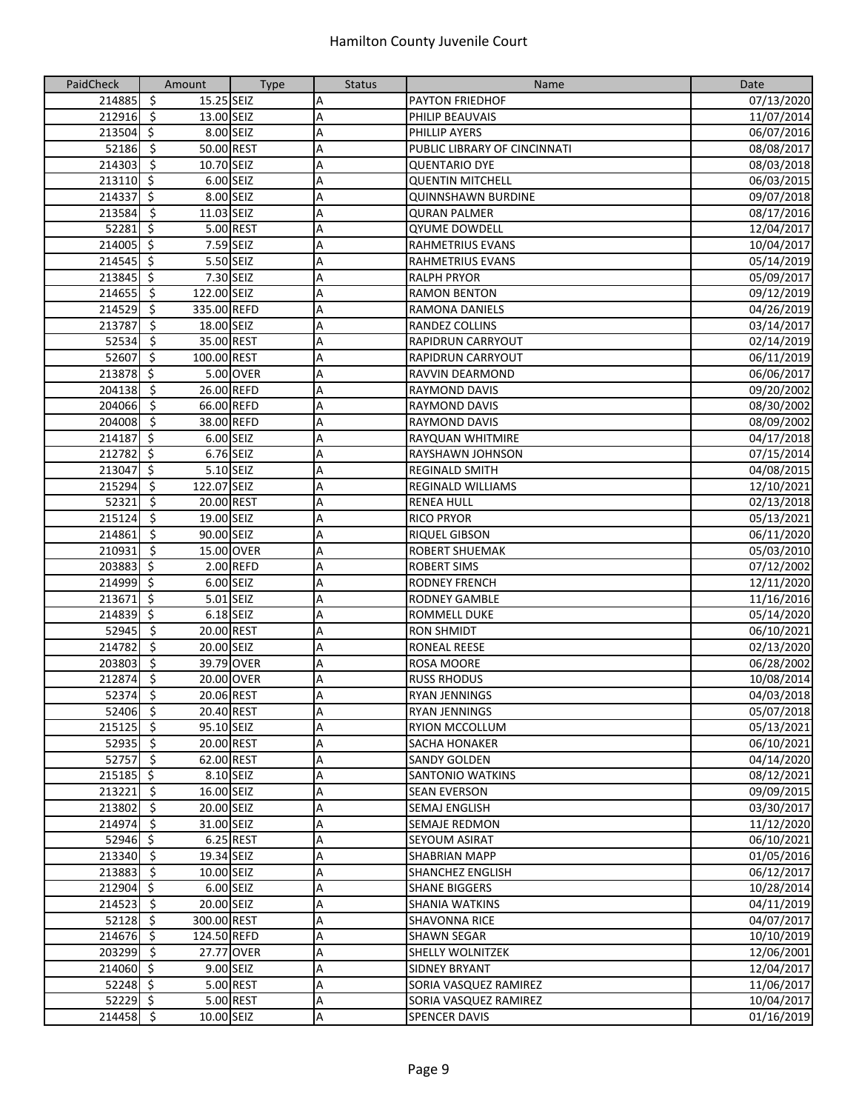| PaidCheck   | Amount                                 | <b>Type</b> | <b>Status</b> | Name                         | Date       |
|-------------|----------------------------------------|-------------|---------------|------------------------------|------------|
| 214885      | $\ddot{\varsigma}$<br>15.25 SEIZ       |             | Α             | <b>PAYTON FRIEDHOF</b>       | 07/13/2020 |
| 212916      | $\overline{\mathbf{5}}$<br>13.00 SEIZ  |             | Α             | PHILIP BEAUVAIS              | 11/07/2014 |
| 213504      | $\overline{\mathbf{S}}$                | 8.00 SEIZ   | A             | PHILLIP AYERS                | 06/07/2016 |
| 52186       | $\ddot{\varsigma}$<br>50.00 REST       |             | A             | PUBLIC LIBRARY OF CINCINNATI | 08/08/2017 |
| 214303      | $\overline{\mathsf{S}}$<br>10.70 SEIZ  |             | A             | <b>QUENTARIO DYE</b>         | 08/03/2018 |
| 213110 \$   |                                        | 6.00 SEIZ   | A             | <b>QUENTIN MITCHELL</b>      | 06/03/2015 |
| 214337      | \$                                     | 8.00 SEIZ   | Α             | <b>QUINNSHAWN BURDINE</b>    | 09/07/2018 |
| 213584      | $\ddot{\varsigma}$<br>11.03 SEIZ       |             | Α             | <b>QURAN PALMER</b>          | 08/17/2016 |
| 52281       | $\ddot{\mathsf{S}}$                    | 5.00 REST   | Α             | <b>QYUME DOWDELL</b>         | 12/04/2017 |
| 214005      | $\ddot{\varsigma}$                     | 7.59 SEIZ   | Α             | <b>RAHMETRIUS EVANS</b>      | 10/04/2017 |
| 214545      | $\ddot{\mathsf{s}}$                    | 5.50 SEIZ   | Α             | RAHMETRIUS EVANS             | 05/14/2019 |
| 213845      | $\overline{\mathbf{S}}$                | 7.30 SEIZ   | А             | <b>RALPH PRYOR</b>           | 05/09/2017 |
| 214655      | $\ddot{\mathsf{S}}$<br>122.00 SEIZ     |             | Α             | <b>RAMON BENTON</b>          | 09/12/2019 |
| 214529      | ऽ<br>335.00 REFD                       |             | A             | RAMONA DANIELS               | 04/26/2019 |
| 213787      | $\overline{\mathcal{S}}$<br>18.00 SEIZ |             | Α             | RANDEZ COLLINS               | 03/14/2017 |
| 52534       | $\overline{\mathbf{5}}$<br>35.00 REST  |             | A             | <b>RAPIDRUN CARRYOUT</b>     | 02/14/2019 |
| 52607       | $\zeta$<br>100.00 REST                 |             | A             | <b>RAPIDRUN CARRYOUT</b>     | 06/11/2019 |
| 213878      | $\ddot{\mathsf{S}}$                    | 5.00 OVER   | А             | RAVVIN DEARMOND              | 06/06/2017 |
| 204138      | $\ddot{\mathsf{s}}$<br>26.00 REFD      |             | А             | <b>RAYMOND DAVIS</b>         | 09/20/2002 |
| 204066      | \$<br>66.00 REFD                       |             | A             | <b>RAYMOND DAVIS</b>         | 08/30/2002 |
| 204008      | $\overline{\boldsymbol{\zeta}}$        | 38.00 REFD  | А             | <b>RAYMOND DAVIS</b>         | 08/09/2002 |
| 214187      | $\ddot{\mathsf{s}}$                    | 6.00 SEIZ   | А             | <b>RAYQUAN WHITMIRE</b>      | 04/17/2018 |
| 212782      | $\overline{\mathbf{S}}$                | 6.76 SEIZ   | А             | <b>RAYSHAWN JOHNSON</b>      | 07/15/2014 |
| 213047      | $\overline{\mathbf{s}}$                | 5.10 SEIZ   | Α             | <b>REGINALD SMITH</b>        | 04/08/2015 |
| 215294      | ऽ<br>122.07 SEIZ                       |             | A             | <b>REGINALD WILLIAMS</b>     | 12/10/2021 |
| 52321       | $\ddot{\varsigma}$<br>20.00 REST       |             | A             | <b>RENEA HULL</b>            | 02/13/2018 |
| 215124      | $\overline{\mathbf{5}}$<br>19.00 SEIZ  |             | A             | <b>RICO PRYOR</b>            | 05/13/2021 |
| 214861      | $\overline{\mathsf{s}}$<br>90.00 SEIZ  |             | A             | <b>RIQUEL GIBSON</b>         | 06/11/2020 |
| 210931      | \$                                     | 15.00 OVER  | А             | <b>ROBERT SHUEMAK</b>        | 05/03/2010 |
| 203883      | \$                                     | 2.00 REFD   | А             | <b>ROBERT SIMS</b>           | 07/12/2002 |
| 214999      | $\ddot{\mathsf{S}}$                    | 6.00 SEIZ   | A             | <b>RODNEY FRENCH</b>         | 12/11/2020 |
| 213671      | $\ddot{\mathsf{S}}$                    | 5.01 SEIZ   | Α             | <b>RODNEY GAMBLE</b>         | 11/16/2016 |
| 214839      | $\ddot{\varsigma}$                     | 6.18 SEIZ   | Α             | <b>ROMMELL DUKE</b>          | 05/14/2020 |
| 52945       | $\overline{\mathbf{v}}$<br>20.00 REST  |             | A             | <b>RON SHMIDT</b>            | 06/10/2021 |
| 214782      | $\overline{\mathbf{v}}$<br>20.00 SEIZ  |             | Α             | <b>RONEAL REESE</b>          | 02/13/2020 |
| 203803      | $\overline{\mathbf{v}}$                | 39.79 OVER  | Α             | <b>ROSA MOORE</b>            | 06/28/2002 |
| 212874      | $\overline{\mathcal{S}}$               | 20.00 OVER  | A             | <b>RUSS RHODUS</b>           | 10/08/2014 |
| 52374       | $\ddot{\varsigma}$<br>20.06 REST       |             | Α             | <b>RYAN JENNINGS</b>         | 04/03/2018 |
| 52406 \$    | 20.40 REST                             |             | Α             | <b>RYAN JENNINGS</b>         | 05/07/2018 |
| $215125$ \$ | 95.10 SEIZ                             |             | А             | <b>RYION MCCOLLUM</b>        | 05/13/2021 |
| $52935$ \$  | 20.00 REST                             |             | А             | <b>SACHA HONAKER</b>         | 06/10/2021 |
| $52757$ \$  | 62.00 REST                             |             | А             | <b>SANDY GOLDEN</b>          | 04/14/2020 |
| $215185$ \$ |                                        | 8.10 SEIZ   | А             | SANTONIO WATKINS             | 08/12/2021 |
| 213221      | $\ddot{\varsigma}$<br>16.00 SEIZ       |             | А             | <b>SEAN EVERSON</b>          | 09/09/2015 |
| 213802      | $\ddot{\varsigma}$<br>20.00 SEIZ       |             | А             | SEMAJ ENGLISH                | 03/30/2017 |
| 214974      | $\overline{\mathcal{S}}$<br>31.00 SEIZ |             | А             | <b>SEMAJE REDMON</b>         | 11/12/2020 |
| $52946$ \$  |                                        | 6.25 REST   | А             | <b>SEYOUM ASIRAT</b>         | 06/10/2021 |
| $213340$ \$ | 19.34 SEIZ                             |             | A             | <b>SHABRIAN MAPP</b>         | 01/05/2016 |
| 213883 \$   | 10.00 SEIZ                             |             | Α             | <b>SHANCHEZ ENGLISH</b>      | 06/12/2017 |
| 212904 \$   |                                        | 6.00 SEIZ   | Α             | <b>SHANE BIGGERS</b>         | 10/28/2014 |
| $214523$ \$ | 20.00 SEIZ                             |             | А             | <b>SHANIA WATKINS</b>        | 04/11/2019 |
| $52128$ \$  | 300.00 REST                            |             | А             | <b>SHAVONNA RICE</b>         | 04/07/2017 |
| 214676 \$   | 124.50 REFD                            |             | Α             | <b>SHAWN SEGAR</b>           | 10/10/2019 |
| 203299 \$   |                                        | 27.77 OVER  | А             | <b>SHELLY WOLNITZEK</b>      | 12/06/2001 |
| 214060 \$   |                                        | 9.00 SEIZ   | А             | <b>SIDNEY BRYANT</b>         | 12/04/2017 |
| $52248$ \$  |                                        | 5.00 REST   | А             | SORIA VASQUEZ RAMIREZ        | 11/06/2017 |
| $52229$ \$  |                                        | 5.00 REST   | А             | SORIA VASQUEZ RAMIREZ        | 10/04/2017 |
| 214458 \$   | 10.00 SEIZ                             |             | А             | <b>SPENCER DAVIS</b>         | 01/16/2019 |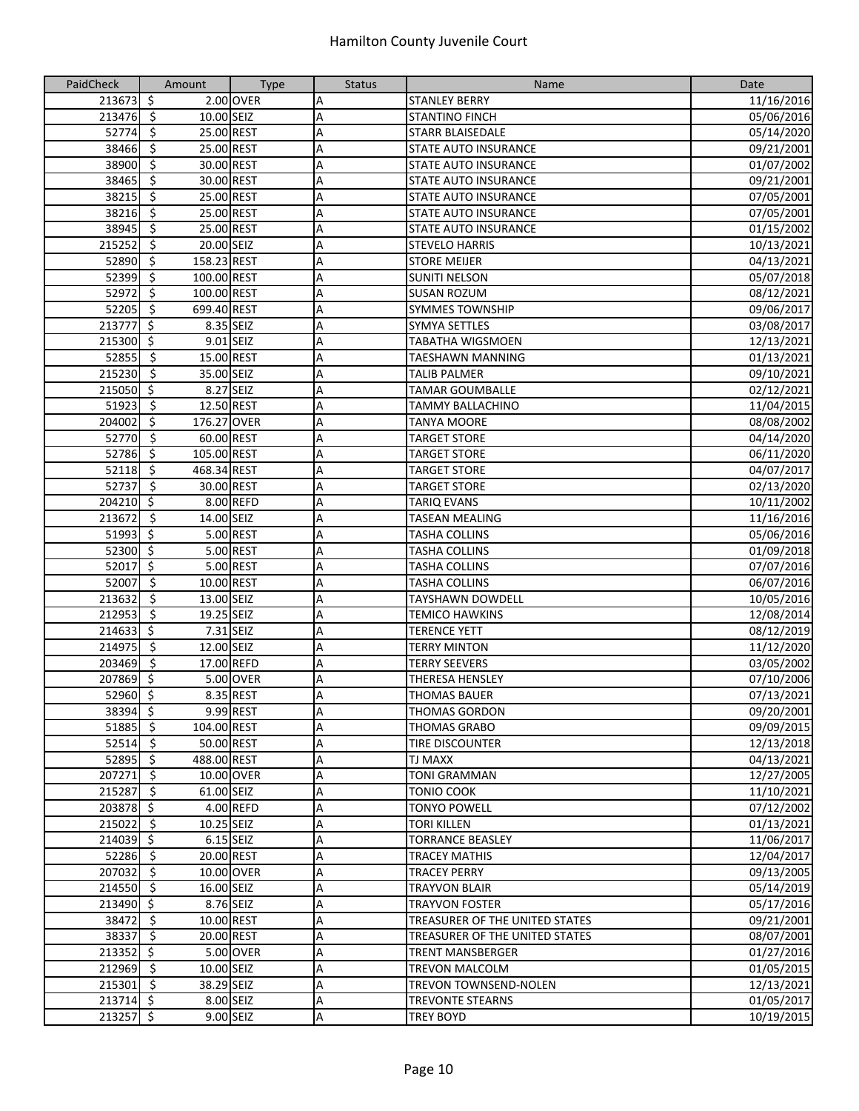| PaidCheck   | Amount                                  | <b>Type</b> | <b>Status</b>  | Name                           | Date       |
|-------------|-----------------------------------------|-------------|----------------|--------------------------------|------------|
| 213673 \$   |                                         | 2.00 OVER   | Α              | <b>STANLEY BERRY</b>           | 11/16/2016 |
| 213476 \$   | 10.00 SEIZ                              |             | A              | <b>STANTINO FINCH</b>          | 05/06/2016 |
| $52774$ \$  | 25.00 REST                              |             | A              | <b>STARR BLAISEDALE</b>        | 05/14/2020 |
| 38466       | $\ddot{\mathsf{s}}$<br>25.00 REST       |             | A              | <b>STATE AUTO INSURANCE</b>    | 09/21/2001 |
| 38900       | -\$<br>30.00 REST                       |             | Α              | STATE AUTO INSURANCE           | 01/07/2002 |
| 38465       | $\zeta$<br>30.00 REST                   |             | А              | <b>STATE AUTO INSURANCE</b>    | 09/21/2001 |
| 38215       | -\$<br>25.00 REST                       |             | A              | <b>STATE AUTO INSURANCE</b>    | 07/05/2001 |
| 38216       | -\$<br>25.00 REST                       |             | A              | STATE AUTO INSURANCE           | 07/05/2001 |
| 38945       | -\$<br>25.00 REST                       |             | A              | STATE AUTO INSURANCE           | 01/15/2002 |
| 215252      | $\overline{\mathbf{5}}$<br>20.00 SEIZ   |             | Α              | <b>STEVELO HARRIS</b>          | 10/13/2021 |
| 52890       | $\ddot{\mathsf{s}}$<br>158.23 REST      |             | A              | <b>STORE MEIJER</b>            | 04/13/2021 |
| 52399       | $\overline{\mathcal{S}}$<br>100.00 REST |             | A              | <b>SUNITI NELSON</b>           | 05/07/2018 |
| 52972       | $\ddot{\mathsf{S}}$<br>100.00 REST      |             | A              | <b>SUSAN ROZUM</b>             | 08/12/2021 |
| $52205$ \$  | 699.40 REST                             |             | A              | <b>SYMMES TOWNSHIP</b>         | 09/06/2017 |
| 213777      | $\zeta$                                 | 8.35 SEIZ   | A              | <b>SYMYA SETTLES</b>           | 03/08/2017 |
| 215300 \$   |                                         | 9.01 SEIZ   | Α              | <b>TABATHA WIGSMOEN</b>        | 12/13/2021 |
| 52855       | -\$<br>15.00 REST                       |             | А              | <b>TAESHAWN MANNING</b>        | 01/13/2021 |
| 215230      | -\$<br>35.00 SEIZ                       |             | Α              | <b>TALIB PALMER</b>            | 09/10/2021 |
| 215050      | -\$                                     | 8.27 SEIZ   | A              | <b>TAMAR GOUMBALLE</b>         | 02/12/2021 |
| 51923       | $\ddot{\varsigma}$<br>12.50 REST        |             | A              | <b>TAMMY BALLACHINO</b>        | 11/04/2015 |
| 204002      | $\ddot{\varsigma}$<br>176.27 OVER       |             | A              | <b>TANYA MOORE</b>             | 08/08/2002 |
| 52770       | $\ddot{\mathsf{s}}$<br>60.00 REST       |             | A              | <b>TARGET STORE</b>            | 04/14/2020 |
| 52786       | $\overline{\mathcal{S}}$<br>105.00 REST |             | A              | <b>TARGET STORE</b>            | 06/11/2020 |
| 52118 \$    | 468.34 REST                             |             |                |                                | 04/07/2017 |
| 52737       | $\overline{\mathbf{5}}$<br>30.00 REST   |             | $\overline{A}$ | <b>TARGET STORE</b>            |            |
| 204210 \$   |                                         |             | A              | <b>TARGET STORE</b>            | 02/13/2020 |
|             |                                         | 8.00 REFD   | Α              | <b>TARIQ EVANS</b>             | 10/11/2002 |
| 213672      | $\ddot{\mathsf{s}}$<br>14.00 SEIZ       |             | A              | <b>TASEAN MEALING</b>          | 11/16/2016 |
| 51993       | \$                                      | 5.00 REST   | A              | <b>TASHA COLLINS</b>           | 05/06/2016 |
| 52300 \$    |                                         | 5.00 REST   | Α              | <b>TASHA COLLINS</b>           | 01/09/2018 |
| 52017       | $\zeta$                                 | 5.00 REST   | A              | <b>TASHA COLLINS</b>           | 07/07/2016 |
| 52007       | \$<br>10.00 REST                        |             | A              | <b>TASHA COLLINS</b>           | 06/07/2016 |
| 213632      | $\overline{\mathbf{5}}$<br>13.00 SEIZ   |             | A              | TAYSHAWN DOWDELL               | 10/05/2016 |
| 212953      | $\overline{\mathbf{5}}$<br>19.25 SEIZ   |             | A              | <b>TEMICO HAWKINS</b>          | 12/08/2014 |
| 214633      | $\zeta$                                 | 7.31 SEIZ   | А              | <b>TERENCE YETT</b>            | 08/12/2019 |
| 214975      | $\overline{\mathbf{5}}$<br>12.00 SEIZ   |             | $\overline{A}$ | <b>TERRY MINTON</b>            | 11/12/2020 |
| 203469      | $\overline{\boldsymbol{\zeta}}$         | 17.00 REFD  | A              | <b>TERRY SEEVERS</b>           | 03/05/2002 |
| 207869 \$   |                                         | 5.00 OVER   | Α              | THERESA HENSLEY                | 07/10/2006 |
| 52960 \$    |                                         | 8.35 REST   | A              | <b>THOMAS BAUER</b>            | 07/13/2021 |
| 38394 \$    |                                         | 9.99 REST   | A              | <b>THOMAS GORDON</b>           | 09/20/2001 |
| $51885$ \$  | 104.00 REST                             |             | A              | <b>THOMAS GRABO</b>            | 09/09/2015 |
| $52514$ \$  |                                         | 50.00 REST  | A              | <b>TIRE DISCOUNTER</b>         | 12/13/2018 |
| 52895 \$    | 488.00 REST                             |             | Α              | <b>TJ MAXX</b>                 | 04/13/2021 |
| 207271 \$   |                                         | 10.00 OVER  | Α              | <b>TONI GRAMMAN</b>            | 12/27/2005 |
| $215287$ \$ | 61.00 SEIZ                              |             | А              | <b>TONIO COOK</b>              | 11/10/2021 |
| 203878 \$   |                                         | 4.00 REFD   | А              | <b>TONYO POWELL</b>            | 07/12/2002 |
| $215022$ \$ | 10.25 SEIZ                              |             | A              | <b>TORI KILLEN</b>             | 01/13/2021 |
| 214039 \$   |                                         | $6.15$ SEIZ | Α              | <b>TORRANCE BEASLEY</b>        | 11/06/2017 |
| $52286$ \$  | 20.00 REST                              |             | Α              | <b>TRACEY MATHIS</b>           | 12/04/2017 |
| 207032 \$   |                                         | 10.00 OVER  | Α              | <b>TRACEY PERRY</b>            | 09/13/2005 |
| 214550 \$   | 16.00 SEIZ                              |             | A              | <b>TRAYVON BLAIR</b>           | 05/14/2019 |
| 213490 \$   |                                         | 8.76 SEIZ   | Α              | <b>TRAYVON FOSTER</b>          | 05/17/2016 |
| 38472 \$    |                                         | 10.00 REST  | А              | TREASURER OF THE UNITED STATES | 09/21/2001 |
| 38337 \$    | 20.00 REST                              |             | A              | TREASURER OF THE UNITED STATES | 08/07/2001 |
| 213352 \$   |                                         | 5.00 OVER   | Α              | <b>TRENT MANSBERGER</b>        | 01/27/2016 |
| $212969$ \$ | 10.00 SEIZ                              |             | А              | <b>TREVON MALCOLM</b>          | 01/05/2015 |
| $215301$ \$ | 38.29 SEIZ                              |             | Α              | TREVON TOWNSEND-NOLEN          | 12/13/2021 |
| $213714$ \$ |                                         | 8.00 SEIZ   | A              | <b>TREVONTE STEARNS</b>        | 01/05/2017 |
| 213257 \$   |                                         | 9.00 SEIZ   | Α              | <b>TREY BOYD</b>               | 10/19/2015 |